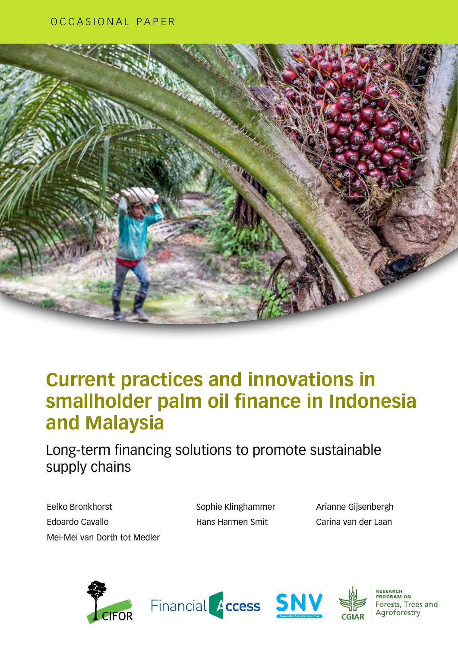

### **Current practices and innovations in smallholder palm oil finance in Indonesia and Malaysia**

Long-term financing solutions to promote sustainable supply chains

Eelko Bronkhorst Edoardo Cavallo Mei-Mei van Dorth tot Medler Sophie Klinghammer Hans Harmen Smit

Arianne Gijsenbergh Carina van der Laan









**RESEARCH<br>PROGRAM ON** Forests, Trees and Agroforestry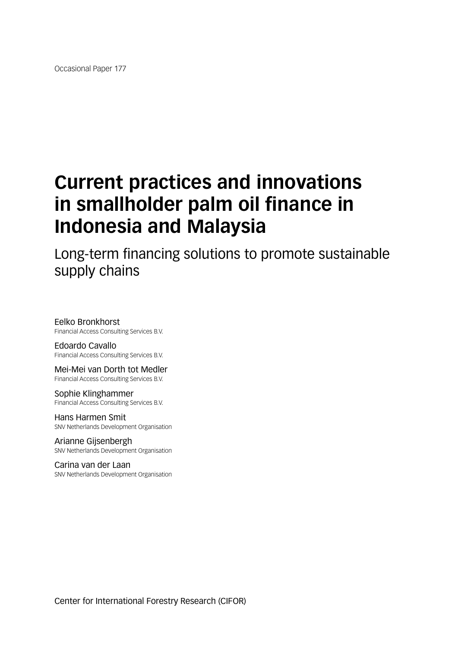Occasional Paper 177

# **Current practices and innovations in smallholder palm oil finance in Indonesia and Malaysia**

Long-term financing solutions to promote sustainable supply chains

Eelko Bronkhorst Financial Access Consulting Services B.V.

Edoardo Cavallo Financial Access Consulting Services B.V.

Mei-Mei van Dorth tot Medler Financial Access Consulting Services B.V.

Sophie Klinghammer Financial Access Consulting Services B.V.

Hans Harmen Smit SNV Netherlands Development Organisation

Arianne Gijsenbergh SNV Netherlands Development Organisation

Carina van der Laan SNV Netherlands Development Organisation

Center for International Forestry Research (CIFOR)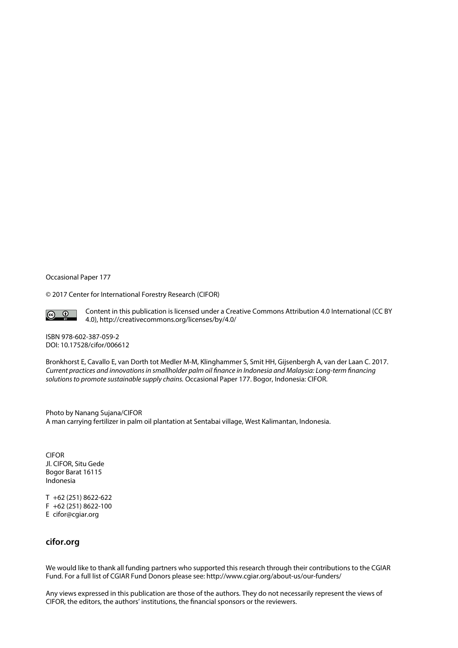Occasional Paper 177

© 2017 Center for International Forestry Research (CIFOR)



Content in this publication is licensed under a Creative Commons Attribution 4.0 International (CC BY 4.0), http://creativecommons.org/licenses/by/4.0/

ISBN 978-602-387-059-2 [DOI: 10.17528/cifor/006612](10.17528/cifor/006524)

Bronkhorst E, Cavallo E, van Dorth tot Medler M-M, Klinghammer S, Smit HH, Gijsenbergh A, van der Laan C. 2017. *Current practices and innovations in smallholder palm oil finance in Indonesia and Malaysia: Long-term financing solutions to promote sustainable supply chains.* Occasional Paper 177. Bogor, Indonesia: CIFOR.

Photo by Nanang Sujana/CIFOR A man carrying fertilizer in palm oil plantation at Sentabai village, West Kalimantan, Indonesia.

**CIFOR** Jl. CIFOR, Situ Gede Bogor Barat 16115 Indonesia

T +62 (251) 8622-622 F +62 (251) 8622-100 E cifor@cgiar.org

#### **cifor.org**

We would like to thank all funding partners who supported this research through their contributions to the CGIAR Fund. For a full list of CGIAR Fund Donors please see: http://www.cgiar.org/about-us/our-funders/

Any views expressed in this publication are those of the authors. They do not necessarily represent the views of CIFOR, the editors, the authors' institutions, the financial sponsors or the reviewers.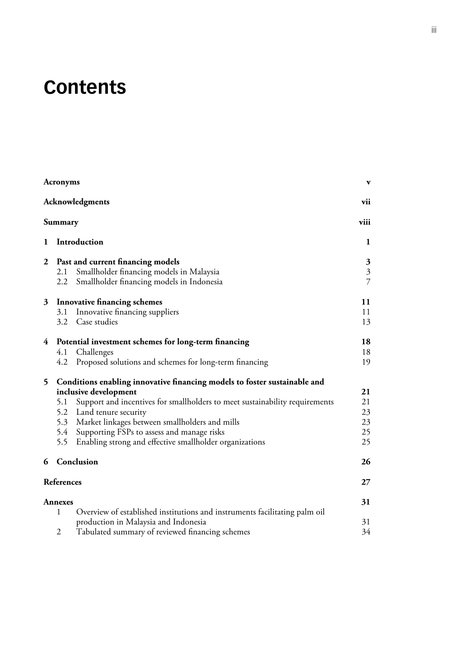# **Contents**

|                  | <b>Acronyms</b>                                                                                                                                                                                                                                                                                                                                                                                                                                                                                                                                                                                       |                                                                             | $\mathbf{v}$   |
|------------------|-------------------------------------------------------------------------------------------------------------------------------------------------------------------------------------------------------------------------------------------------------------------------------------------------------------------------------------------------------------------------------------------------------------------------------------------------------------------------------------------------------------------------------------------------------------------------------------------------------|-----------------------------------------------------------------------------|----------------|
|                  |                                                                                                                                                                                                                                                                                                                                                                                                                                                                                                                                                                                                       | Acknowledgments                                                             | vii            |
|                  | Summary                                                                                                                                                                                                                                                                                                                                                                                                                                                                                                                                                                                               |                                                                             | viii           |
| 1                |                                                                                                                                                                                                                                                                                                                                                                                                                                                                                                                                                                                                       | Introduction                                                                | 1              |
| $\boldsymbol{2}$ |                                                                                                                                                                                                                                                                                                                                                                                                                                                                                                                                                                                                       |                                                                             | 3              |
|                  | 2.1                                                                                                                                                                                                                                                                                                                                                                                                                                                                                                                                                                                                   | Smallholder financing models in Malaysia                                    | $\mathfrak{Z}$ |
|                  |                                                                                                                                                                                                                                                                                                                                                                                                                                                                                                                                                                                                       | Smallholder financing models in Indonesia                                   | $\overline{7}$ |
| 3                |                                                                                                                                                                                                                                                                                                                                                                                                                                                                                                                                                                                                       |                                                                             | 11             |
|                  |                                                                                                                                                                                                                                                                                                                                                                                                                                                                                                                                                                                                       | Innovative financing suppliers                                              | 11             |
|                  |                                                                                                                                                                                                                                                                                                                                                                                                                                                                                                                                                                                                       |                                                                             | 13             |
| $\overline{4}$   |                                                                                                                                                                                                                                                                                                                                                                                                                                                                                                                                                                                                       |                                                                             | 18             |
|                  |                                                                                                                                                                                                                                                                                                                                                                                                                                                                                                                                                                                                       |                                                                             | 18             |
|                  |                                                                                                                                                                                                                                                                                                                                                                                                                                                                                                                                                                                                       |                                                                             | 19             |
| 5                |                                                                                                                                                                                                                                                                                                                                                                                                                                                                                                                                                                                                       | Conditions enabling innovative financing models to foster sustainable and   |                |
|                  |                                                                                                                                                                                                                                                                                                                                                                                                                                                                                                                                                                                                       |                                                                             | 21             |
|                  | 5.1                                                                                                                                                                                                                                                                                                                                                                                                                                                                                                                                                                                                   | Support and incentives for smallholders to meet sustainability requirements | 21             |
|                  |                                                                                                                                                                                                                                                                                                                                                                                                                                                                                                                                                                                                       |                                                                             | 23             |
|                  |                                                                                                                                                                                                                                                                                                                                                                                                                                                                                                                                                                                                       |                                                                             | 23             |
|                  |                                                                                                                                                                                                                                                                                                                                                                                                                                                                                                                                                                                                       |                                                                             | 25             |
|                  |                                                                                                                                                                                                                                                                                                                                                                                                                                                                                                                                                                                                       |                                                                             | 25             |
| 6                | Past and current financing models<br>$2.2\,$<br><b>Innovative financing schemes</b><br>3.1<br>3.2 Case studies<br>Potential investment schemes for long-term financing<br>4.1 Challenges<br>4.2 Proposed solutions and schemes for long-term financing<br>inclusive development<br>5.2 Land tenure security<br>5.3 Market linkages between smallholders and mills<br>5.4<br>Supporting FSPs to assess and manage risks<br>Enabling strong and effective smallholder organizations<br>5.5<br>Conclusion<br>References<br><b>Annexes</b><br>1<br>production in Malaysia and Indonesia<br>$\overline{2}$ |                                                                             | 26             |
|                  |                                                                                                                                                                                                                                                                                                                                                                                                                                                                                                                                                                                                       |                                                                             | 27             |
|                  |                                                                                                                                                                                                                                                                                                                                                                                                                                                                                                                                                                                                       |                                                                             | 31             |
|                  |                                                                                                                                                                                                                                                                                                                                                                                                                                                                                                                                                                                                       | Overview of established institutions and instruments facilitating palm oil  |                |
|                  |                                                                                                                                                                                                                                                                                                                                                                                                                                                                                                                                                                                                       |                                                                             | 31             |
|                  |                                                                                                                                                                                                                                                                                                                                                                                                                                                                                                                                                                                                       | Tabulated summary of reviewed financing schemes                             | 34             |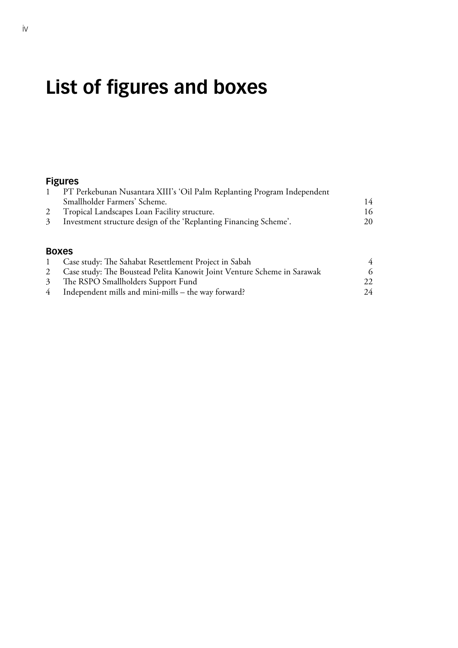# **List of figures and boxes**

### **Figures**

| PT Perkebunan Nusantara XIII's 'Oil Palm Replanting Program Independent |    |
|-------------------------------------------------------------------------|----|
| Smallholder Farmers' Scheme.                                            | 14 |
| 2 Tropical Landscapes Loan Facility structure.                          | 16 |
| 3 Investment structure design of the 'Replanting Financing Scheme'.     | 20 |
|                                                                         |    |

#### **Boxes**

| Case study: The Sahabat Resettlement Project in Sabah                     | 4   |
|---------------------------------------------------------------------------|-----|
| 2 Case study: The Boustead Pelita Kanowit Joint Venture Scheme in Sarawak |     |
| 3 The RSPO Smallholders Support Fund                                      | 22. |
| $4$ Independent mills and mini-mills – the way forward?                   | 24  |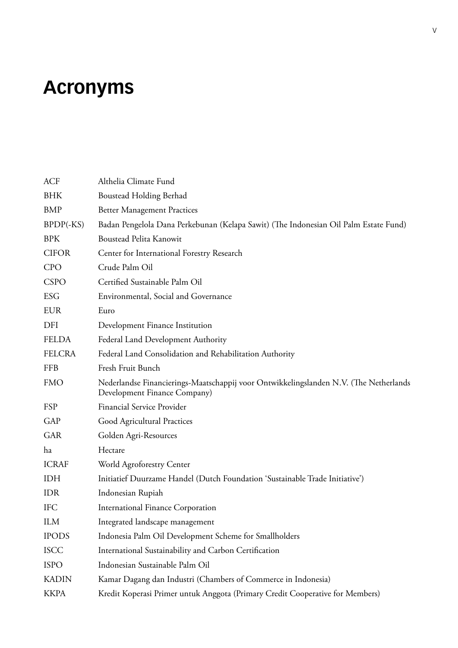# <span id="page-6-0"></span>**Acronyms**

| <b>ACF</b>    | Althelia Climate Fund                                                                                                 |
|---------------|-----------------------------------------------------------------------------------------------------------------------|
| <b>BHK</b>    | <b>Boustead Holding Berhad</b>                                                                                        |
| <b>BMP</b>    | <b>Better Management Practices</b>                                                                                    |
| $BPDF(-KS)$   | Badan Pengelola Dana Perkebunan (Kelapa Sawit) (The Indonesian Oil Palm Estate Fund)                                  |
| <b>BPK</b>    | Boustead Pelita Kanowit                                                                                               |
| <b>CIFOR</b>  | Center for International Forestry Research                                                                            |
| <b>CPO</b>    | Crude Palm Oil                                                                                                        |
| <b>CSPO</b>   | Certified Sustainable Palm Oil                                                                                        |
| <b>ESG</b>    | Environmental, Social and Governance                                                                                  |
| <b>EUR</b>    | Euro                                                                                                                  |
| DFI           | Development Finance Institution                                                                                       |
| <b>FELDA</b>  | Federal Land Development Authority                                                                                    |
| <b>FELCRA</b> | Federal Land Consolidation and Rehabilitation Authority                                                               |
| <b>FFB</b>    | Fresh Fruit Bunch                                                                                                     |
| <b>FMO</b>    | Nederlandse Financierings-Maatschappij voor Ontwikkelingslanden N.V. (The Netherlands<br>Development Finance Company) |
| FSP           | Financial Service Provider                                                                                            |
| GAP           | Good Agricultural Practices                                                                                           |
| <b>GAR</b>    | Golden Agri-Resources                                                                                                 |
| ha            | Hectare                                                                                                               |
| <b>ICRAF</b>  | World Agroforestry Center                                                                                             |
| IDH           | Initiatief Duurzame Handel (Dutch Foundation 'Sustainable Trade Initiative')                                          |
| <b>IDR</b>    | Indonesian Rupiah                                                                                                     |
| <b>IFC</b>    | <b>International Finance Corporation</b>                                                                              |
| <b>ILM</b>    | Integrated landscape management                                                                                       |
| <b>IPODS</b>  | Indonesia Palm Oil Development Scheme for Smallholders                                                                |
| <b>ISCC</b>   | International Sustainability and Carbon Certification                                                                 |
| <b>ISPO</b>   | Indonesian Sustainable Palm Oil                                                                                       |
| <b>KADIN</b>  | Kamar Dagang dan Industri (Chambers of Commerce in Indonesia)                                                         |
| <b>KKPA</b>   | Kredit Koperasi Primer untuk Anggota (Primary Credit Cooperative for Members)                                         |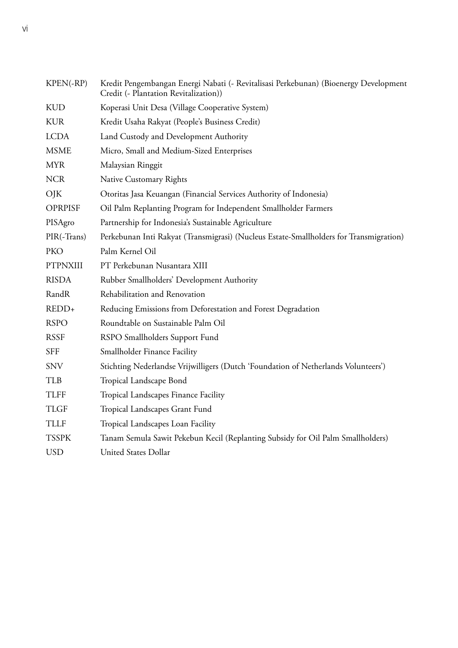| KPEN(-RP)       | Kredit Pengembangan Energi Nabati (- Revitalisasi Perkebunan) (Bioenergy Development<br>Credit (- Plantation Revitalization)) |
|-----------------|-------------------------------------------------------------------------------------------------------------------------------|
| <b>KUD</b>      | Koperasi Unit Desa (Village Cooperative System)                                                                               |
| <b>KUR</b>      | Kredit Usaha Rakyat (People's Business Credit)                                                                                |
| <b>LCDA</b>     | Land Custody and Development Authority                                                                                        |
| <b>MSME</b>     | Micro, Small and Medium-Sized Enterprises                                                                                     |
| <b>MYR</b>      | Malaysian Ringgit                                                                                                             |
| <b>NCR</b>      | Native Customary Rights                                                                                                       |
| OJK             | Otoritas Jasa Keuangan (Financial Services Authority of Indonesia)                                                            |
| <b>OPRPISF</b>  | Oil Palm Replanting Program for Independent Smallholder Farmers                                                               |
| PISAgro         | Partnership for Indonesia's Sustainable Agriculture                                                                           |
| PIR(-Trans)     | Perkebunan Inti Rakyat (Transmigrasi) (Nucleus Estate-Smallholders for Transmigration)                                        |
| <b>PKO</b>      | Palm Kernel Oil                                                                                                               |
| <b>PTPNXIII</b> | PT Perkebunan Nusantara XIII                                                                                                  |
| <b>RISDA</b>    | Rubber Smallholders' Development Authority                                                                                    |
| RandR           | Rehabilitation and Renovation                                                                                                 |
| REDD+           | Reducing Emissions from Deforestation and Forest Degradation                                                                  |
| <b>RSPO</b>     | Roundtable on Sustainable Palm Oil                                                                                            |
| <b>RSSF</b>     | RSPO Smallholders Support Fund                                                                                                |
| <b>SFF</b>      | Smallholder Finance Facility                                                                                                  |
| <b>SNV</b>      | Stichting Nederlandse Vrijwilligers (Dutch 'Foundation of Netherlands Volunteers')                                            |
| <b>TLB</b>      | Tropical Landscape Bond                                                                                                       |
| <b>TLFF</b>     | Tropical Landscapes Finance Facility                                                                                          |
| <b>TLGF</b>     | Tropical Landscapes Grant Fund                                                                                                |
| <b>TLLF</b>     | Tropical Landscapes Loan Facility                                                                                             |
| <b>TSSPK</b>    | Tanam Semula Sawit Pekebun Kecil (Replanting Subsidy for Oil Palm Smallholders)                                               |
| <b>USD</b>      | <b>United States Dollar</b>                                                                                                   |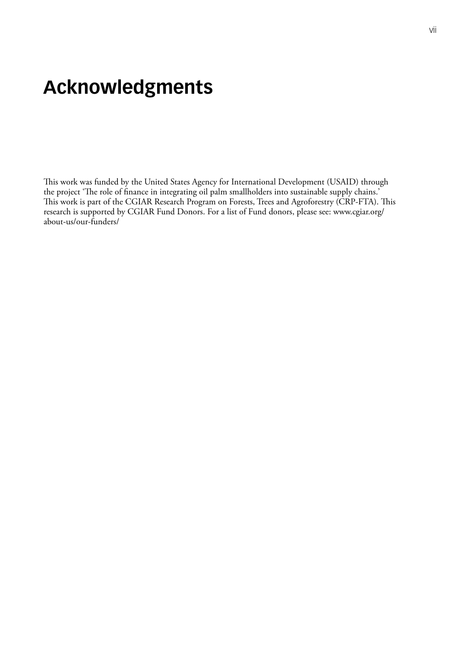### <span id="page-8-0"></span>**Acknowledgments**

This work was funded by the United States Agency for International Development (USAID) through the project 'The role of finance in integrating oil palm smallholders into sustainable supply chains.' This work is part of the CGIAR Research Program on Forests, Trees and Agroforestry (CRP-FTA). This research is supported by CGIAR Fund Donors. For a list of Fund donors, please see: [www.cgiar.org/](http://www.cgiar.org/about-us/our-funders/) [about-us/our-funders/](http://www.cgiar.org/about-us/our-funders/)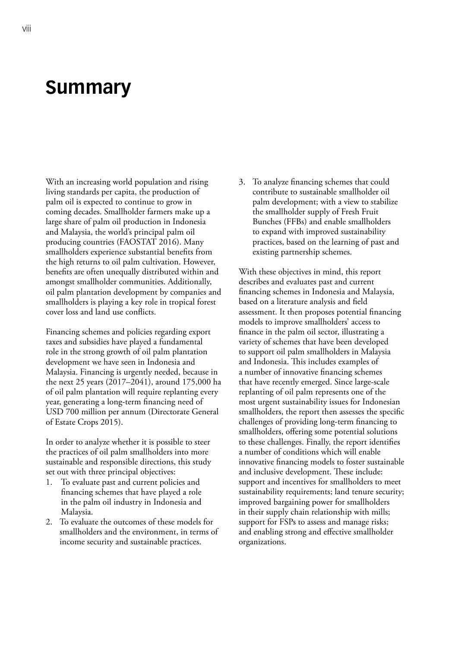### <span id="page-9-0"></span>**Summary**

With an increasing world population and rising living standards per capita, the production of palm oil is expected to continue to grow in coming decades. Smallholder farmers make up a large share of palm oil production in Indonesia and Malaysia, the world's principal palm oil producing countries (FAOSTAT 2016). Many smallholders experience substantial benefits from the high returns to oil palm cultivation. However, benefits are often unequally distributed within and amongst smallholder communities. Additionally, oil palm plantation development by companies and smallholders is playing a key role in tropical forest cover loss and land use conflicts.

Financing schemes and policies regarding export taxes and subsidies have played a fundamental role in the strong growth of oil palm plantation development we have seen in Indonesia and Malaysia. Financing is urgently needed, because in the next 25 years (2017–2041), around 175,000 ha of oil palm plantation will require replanting every year, generating a long-term financing need of USD 700 million per annum (Directorate General of Estate Crops 2015).

In order to analyze whether it is possible to steer the practices of oil palm smallholders into more sustainable and responsible directions, this study set out with three principal objectives:

- 1. To evaluate past and current policies and financing schemes that have played a role in the palm oil industry in Indonesia and Malaysia.
- 2. To evaluate the outcomes of these models for smallholders and the environment, in terms of income security and sustainable practices.

3. To analyze financing schemes that could contribute to sustainable smallholder oil palm development; with a view to stabilize the smallholder supply of Fresh Fruit Bunches (FFBs) and enable smallholders to expand with improved sustainability practices, based on the learning of past and existing partnership schemes.

With these objectives in mind, this report describes and evaluates past and current financing schemes in Indonesia and Malaysia, based on a literature analysis and field assessment. It then proposes potential financing models to improve smallholders' access to finance in the palm oil sector, illustrating a variety of schemes that have been developed to support oil palm smallholders in Malaysia and Indonesia. This includes examples of a number of innovative financing schemes that have recently emerged. Since large-scale replanting of oil palm represents one of the most urgent sustainability issues for Indonesian smallholders, the report then assesses the specific challenges of providing long-term financing to smallholders, offering some potential solutions to these challenges. Finally, the report identifies a number of conditions which will enable innovative financing models to foster sustainable and inclusive development. These include: support and incentives for smallholders to meet sustainability requirements; land tenure security; improved bargaining power for smallholders in their supply chain relationship with mills; support for FSPs to assess and manage risks; and enabling strong and effective smallholder organizations.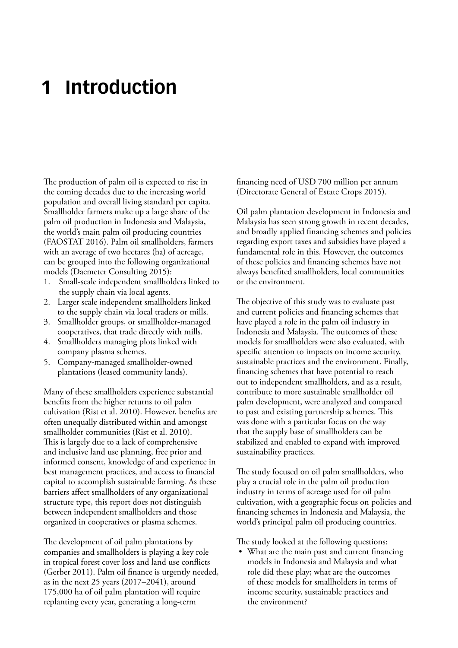### <span id="page-10-0"></span>**1 Introduction**

The production of palm oil is expected to rise in the coming decades due to the increasing world population and overall living standard per capita. Smallholder farmers make up a large share of the palm oil production in Indonesia and Malaysia, the world's main palm oil producing countries (FAOSTAT 2016). Palm oil smallholders, farmers with an average of two hectares (ha) of acreage, can be grouped into the following organizational models (Daemeter Consulting 2015):

- 1. Small-scale independent smallholders linked to the supply chain via local agents.
- 2. Larger scale independent smallholders linked to the supply chain via local traders or mills.
- 3. Smallholder groups, or smallholder-managed cooperatives, that trade directly with mills.
- 4. Smallholders managing plots linked with company plasma schemes.
- 5. Company-managed smallholder-owned plantations (leased community lands).

Many of these smallholders experience substantial benefits from the higher returns to oil palm cultivation (Rist et al. 2010). However, benefits are often unequally distributed within and amongst smallholder communities (Rist et al. 2010). This is largely due to a lack of comprehensive and inclusive land use planning, free prior and informed consent, knowledge of and experience in best management practices, and access to financial capital to accomplish sustainable farming. As these barriers affect smallholders of any organizational structure type, this report does not distinguish between independent smallholders and those organized in cooperatives or plasma schemes.

The development of oil palm plantations by companies and smallholders is playing a key role in tropical forest cover loss and land use conflicts (Gerber 2011). Palm oil finance is urgently needed, as in the next 25 years (2017–2041), around 175,000 ha of oil palm plantation will require replanting every year, generating a long-term

financing need of USD 700 million per annum (Directorate General of Estate Crops 2015).

Oil palm plantation development in Indonesia and Malaysia has seen strong growth in recent decades, and broadly applied financing schemes and policies regarding export taxes and subsidies have played a fundamental role in this. However, the outcomes of these policies and financing schemes have not always benefited smallholders, local communities or the environment.

The objective of this study was to evaluate past and current policies and financing schemes that have played a role in the palm oil industry in Indonesia and Malaysia. The outcomes of these models for smallholders were also evaluated, with specific attention to impacts on income security, sustainable practices and the environment. Finally, financing schemes that have potential to reach out to independent smallholders, and as a result, contribute to more sustainable smallholder oil palm development, were analyzed and compared to past and existing partnership schemes. This was done with a particular focus on the way that the supply base of smallholders can be stabilized and enabled to expand with improved sustainability practices.

The study focused on oil palm smallholders, who play a crucial role in the palm oil production industry in terms of acreage used for oil palm cultivation, with a geographic focus on policies and financing schemes in Indonesia and Malaysia, the world's principal palm oil producing countries.

The study looked at the following questions:

• What are the main past and current financing models in Indonesia and Malaysia and what role did these play; what are the outcomes of these models for smallholders in terms of income security, sustainable practices and the environment?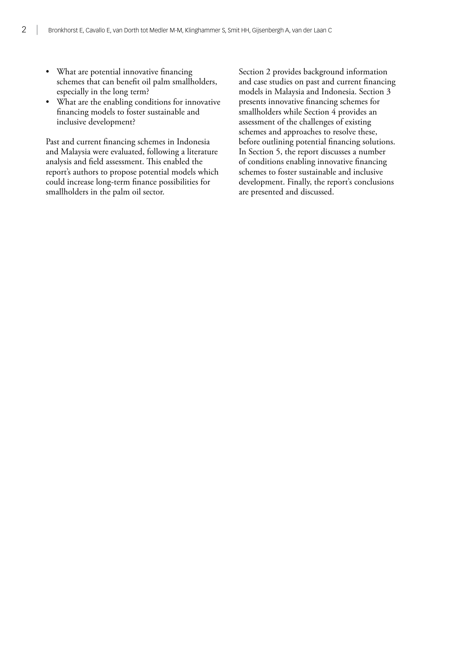- What are potential innovative financing schemes that can benefit oil palm smallholders, especially in the long term?
- What are the enabling conditions for innovative financing models to foster sustainable and inclusive development?

Past and current financing schemes in Indonesia and Malaysia were evaluated, following a literature analysis and field assessment. This enabled the report's authors to propose potential models which could increase long-term finance possibilities for smallholders in the palm oil sector.

Section 2 provides background information and case studies on past and current financing models in Malaysia and Indonesia. Section 3 presents innovative financing schemes for smallholders while Section 4 provides an assessment of the challenges of existing schemes and approaches to resolve these, before outlining potential financing solutions. In Section 5, the report discusses a number of conditions enabling innovative financing schemes to foster sustainable and inclusive development. Finally, the report's conclusions are presented and discussed.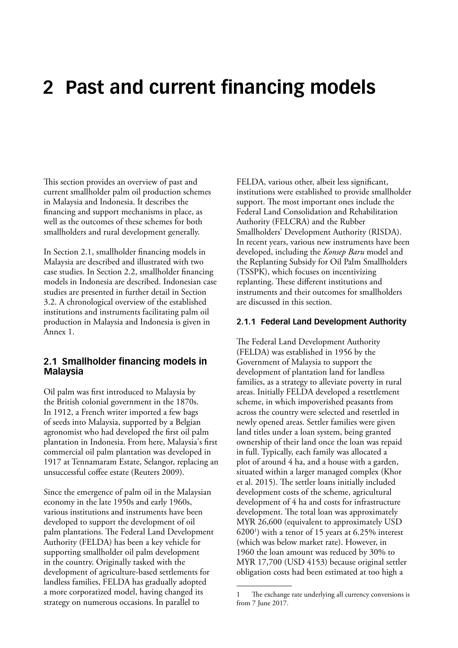### <span id="page-12-0"></span>**2 Past and current financing models**

This section provides an overview of past and current smallholder palm oil production schemes in Malaysia and Indonesia. It describes the financing and support mechanisms in place, as well as the outcomes of these schemes for both smallholders and rural development generally.

In Section 2.1, smallholder financing models in Malaysia are described and illustrated with two case studies. In Section 2.2, smallholder financing models in Indonesia are described. Indonesian case studies are presented in further detail in Section 3.2. A chronological overview of the established institutions and instruments facilitating palm oil production in Malaysia and Indonesia is given in Annex 1.

#### **2.1 Smallholder financing models in Malaysia**

Oil palm was first introduced to Malaysia by the British colonial government in the 1870s. In 1912, a French writer imported a few bags of seeds into Malaysia, supported by a Belgian agronomist who had developed the first oil palm plantation in Indonesia. From here, Malaysia's first commercial oil palm plantation was developed in 1917 at Tennamaram Estate, Selangor, replacing an unsuccessful coffee estate (Reuters 2009).

Since the emergence of palm oil in the Malaysian economy in the late 1950s and early 1960s, various institutions and instruments have been developed to support the development of oil palm plantations. The Federal Land Development Authority (FELDA) has been a key vehicle for supporting smallholder oil palm development in the country. Originally tasked with the development of agriculture-based settlements for landless families, FELDA has gradually adopted a more corporatized model, having changed its strategy on numerous occasions. In parallel to

FELDA, various other, albeit less significant, institutions were established to provide smallholder support. The most important ones include the Federal Land Consolidation and Rehabilitation Authority (FELCRA) and the Rubber Smallholders' Development Authority (RISDA). In recent years, various new instruments have been developed, including the *Konsep Baru* model and the Replanting Subsidy for Oil Palm Smallholders (TSSPK), which focuses on incentivizing replanting. These different institutions and instruments and their outcomes for smallholders are discussed in this section.

#### **2.1.1 Federal Land Development Authority**

The Federal Land Development Authority (FELDA) was established in 1956 by the Government of Malaysia to support the development of plantation land for landless families, as a strategy to alleviate poverty in rural areas. Initially FELDA developed a resettlement scheme, in which impoverished peasants from across the country were selected and resettled in newly opened areas. Settler families were given land titles under a loan system, being granted ownership of their land once the loan was repaid in full. Typically, each family was allocated a plot of around 4 ha, and a house with a garden, situated within a larger managed complex (Khor et al. 2015). The settler loans initially included development costs of the scheme, agricultural development of 4 ha and costs for infrastructure development. The total loan was approximately MYR 26,600 (equivalent to approximately USD 62001 ) with a tenor of 15 years at 6.25% interest (which was below market rate). However, in 1960 the loan amount was reduced by 30% to MYR 17,700 (USD 4153) because original settler obligation costs had been estimated at too high a

The exchange rate underlying all currency conversions is from 7 June 2017.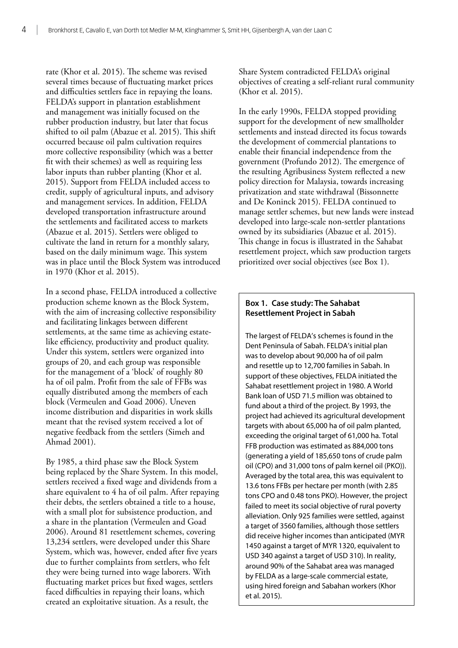rate (Khor et al. 2015). The scheme was revised several times because of fluctuating market prices and difficulties settlers face in repaying the loans. FELDA's support in plantation establishment and management was initially focused on the rubber production industry, but later that focus shifted to oil palm (Abazue et al. 2015). This shift occurred because oil palm cultivation requires more collective responsibility (which was a better fit with their schemes) as well as requiring less labor inputs than rubber planting (Khor et al. 2015). Support from FELDA included access to credit, supply of agricultural inputs, and advisory and management services. In addition, FELDA developed transportation infrastructure around the settlements and facilitated access to markets (Abazue et al. 2015). Settlers were obliged to cultivate the land in return for a monthly salary, based on the daily minimum wage. This system was in place until the Block System was introduced in 1970 (Khor et al. 2015).

In a second phase, FELDA introduced a collective production scheme known as the Block System, with the aim of increasing collective responsibility and facilitating linkages between different settlements, at the same time as achieving estatelike efficiency, productivity and product quality. Under this system, settlers were organized into groups of 20, and each group was responsible for the management of a 'block' of roughly 80 ha of oil palm. Profit from the sale of FFBs was equally distributed among the members of each block (Vermeulen and Goad 2006). Uneven income distribution and disparities in work skills meant that the revised system received a lot of negative feedback from the settlers (Simeh and Ahmad 2001).

By 1985, a third phase saw the Block System being replaced by the Share System. In this model, settlers received a fixed wage and dividends from a share equivalent to 4 ha of oil palm. After repaying their debts, the settlers obtained a title to a house, with a small plot for subsistence production, and a share in the plantation (Vermeulen and Goad 2006). Around 81 resettlement schemes, covering 13,234 settlers, were developed under this Share System, which was, however, ended after five years due to further complaints from settlers, who felt they were being turned into wage laborers. With fluctuating market prices but fixed wages, settlers faced difficulties in repaying their loans, which created an exploitative situation. As a result, the

Share System contradicted FELDA's original objectives of creating a self-reliant rural community (Khor et al. 2015).

In the early 1990s, FELDA stopped providing support for the development of new smallholder settlements and instead directed its focus towards the development of commercial plantations to enable their financial independence from the government (Profundo 2012). The emergence of the resulting Agribusiness System reflected a new policy direction for Malaysia, towards increasing privatization and state withdrawal (Bissonnette and De Koninck 2015). FELDA continued to manage settler schemes, but new lands were instead developed into large-scale non-settler plantations owned by its subsidiaries (Abazue et al. 2015). This change in focus is illustrated in the Sahabat resettlement project, which saw production targets prioritized over social objectives (see Box 1).

#### **Box 1. Case study: The Sahabat Resettlement Project in Sabah**

The largest of FELDA's schemes is found in the Dent Peninsula of Sabah. FELDA's initial plan was to develop about 90,000 ha of oil palm and resettle up to 12,700 families in Sabah. In support of these objectives, FELDA initiated the Sahabat resettlement project in 1980. A World Bank loan of USD 71.5 million was obtained to fund about a third of the project. By 1993, the project had achieved its agricultural development targets with about 65,000 ha of oil palm planted, exceeding the original target of 61,000 ha. Total FFB production was estimated as 884,000 tons (generating a yield of 185,650 tons of crude palm oil (CPO) and 31,000 tons of palm kernel oil (PKO)). Averaged by the total area, this was equivalent to 13.6 tons FFBs per hectare per month (with 2.85 tons CPO and 0.48 tons PKO). However, the project failed to meet its social objective of rural poverty alleviation. Only 925 families were settled, against a target of 3560 families, although those settlers did receive higher incomes than anticipated (MYR 1450 against a target of MYR 1320, equivalent to USD 340 against a target of USD 310). In reality, around 90% of the Sahabat area was managed by FELDA as a large-scale commercial estate, using hired foreign and Sabahan workers (Khor et al. 2015).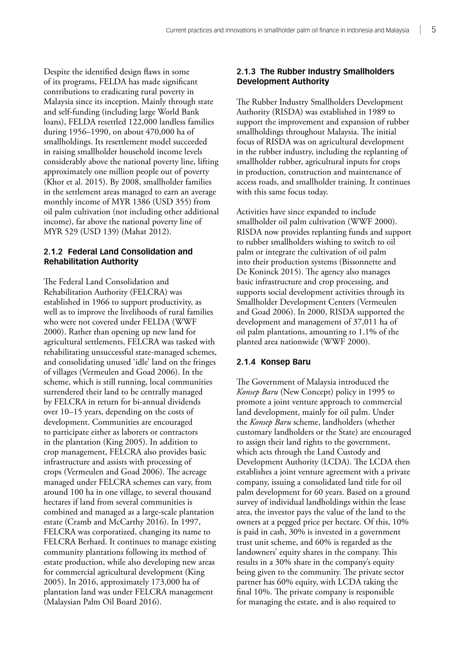Despite the identified design flaws in some of its programs, FELDA has made significant contributions to eradicating rural poverty in Malaysia since its inception. Mainly through state and self-funding (including large World Bank loans), FELDA resettled 122,000 landless families during 1956–1990, on about 470,000 ha of smallholdings. Its resettlement model succeeded in raising smallholder household income levels considerably above the national poverty line, lifting approximately one million people out of poverty (Khor et al. 2015). By 2008, smallholder families in the settlement areas managed to earn an average monthly income of MYR 1386 (USD 355) from oil palm cultivation (not including other additional income), far above the national poverty line of MYR 529 (USD 139) (Mahat 2012).

#### **2.1.2 Federal Land Consolidation and Rehabilitation Authority**

The Federal Land Consolidation and Rehabilitation Authority (FELCRA) was established in 1966 to support productivity, as well as to improve the livelihoods of rural families who were not covered under FELDA (WWF 2000). Rather than opening up new land for agricultural settlements, FELCRA was tasked with rehabilitating unsuccessful state-managed schemes, and consolidating unused 'idle' land on the fringes of villages (Vermeulen and Goad 2006). In the scheme, which is still running, local communities surrendered their land to be centrally managed by FELCRA in return for bi-annual dividends over 10–15 years, depending on the costs of development. Communities are encouraged to participate either as laborers or contractors in the plantation (King 2005). In addition to crop management, FELCRA also provides basic infrastructure and assists with processing of crops (Vermeulen and Goad 2006). The acreage managed under FELCRA schemes can vary, from around 100 ha in one village, to several thousand hectares if land from several communities is combined and managed as a large-scale plantation estate (Cramb and McCarthy 2016). In 1997, FELCRA was corporatized, changing its name to FELCRA Berhard. It continues to manage existing community plantations following its method of estate production, while also developing new areas for commercial agricultural development (King 2005). In 2016, approximately 173,000 ha of plantation land was under FELCRA management (Malaysian Palm Oil Board 2016).

#### **2.1.3 The Rubber Industry Smallholders Development Authority**

The Rubber Industry Smallholders Development Authority (RISDA) was established in 1989 to support the improvement and expansion of rubber smallholdings throughout Malaysia. The initial focus of RISDA was on agricultural development in the rubber industry, including the replanting of smallholder rubber, agricultural inputs for crops in production, construction and maintenance of access roads, and smallholder training. It continues with this same focus today.

Activities have since expanded to include smallholder oil palm cultivation (WWF 2000). RISDA now provides replanting funds and support to rubber smallholders wishing to switch to oil palm or integrate the cultivation of oil palm into their production systems (Bissonnette and De Koninck 2015). The agency also manages basic infrastructure and crop processing, and supports social development activities through its Smallholder Development Centers (Vermeulen and Goad 2006). In 2000, RISDA supported the development and management of 37,011 ha of oil palm plantations, amounting to 1.1% of the planted area nationwide (WWF 2000).

#### **2.1.4 Konsep Baru**

The Government of Malaysia introduced the *Konsep Baru* (New Concept) policy in 1995 to promote a joint venture approach to commercial land development, mainly for oil palm. Under the *Konsep Baru* scheme, landholders (whether customary landholders or the State) are encouraged to assign their land rights to the government, which acts through the Land Custody and Development Authority (LCDA). The LCDA then establishes a joint venture agreement with a private company, issuing a consolidated land title for oil palm development for 60 years. Based on a ground survey of individual landholdings within the lease area, the investor pays the value of the land to the owners at a pegged price per hectare. Of this, 10% is paid in cash, 30% is invested in a government trust unit scheme, and 60% is regarded as the landowners' equity shares in the company. This results in a 30% share in the company's equity being given to the community. The private sector partner has 60% equity, with LCDA taking the final 10%. The private company is responsible for managing the estate, and is also required to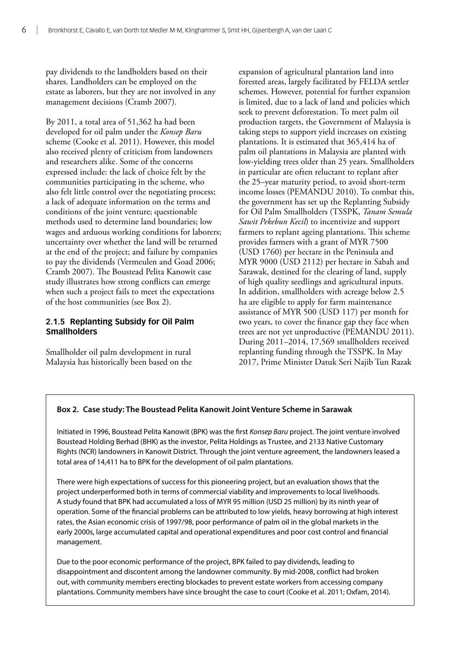pay dividends to the landholders based on their shares. Landholders can be employed on the estate as laborers, but they are not involved in any management decisions (Cramb 2007).

By 2011, a total area of 51,362 ha had been developed for oil palm under the *Konsep Baru* scheme (Cooke et al. 2011). However, this model also received plenty of criticism from landowners and researchers alike. Some of the concerns expressed include: the lack of choice felt by the communities participating in the scheme, who also felt little control over the negotiating process; a lack of adequate information on the terms and conditions of the joint venture; questionable methods used to determine land boundaries; low wages and arduous working conditions for laborers; uncertainty over whether the land will be returned at the end of the project; and failure by companies to pay the dividends (Vermeulen and Goad 2006; Cramb 2007). The Boustead Pelita Kanowit case study illustrates how strong conflicts can emerge when such a project fails to meet the expectations of the host communities (see Box 2).

#### **2.1.5 Replanting Subsidy for Oil Palm Smallholders**

Smallholder oil palm development in rural Malaysia has historically been based on the expansion of agricultural plantation land into forested areas, largely facilitated by FELDA settler schemes. However, potential for further expansion is limited, due to a lack of land and policies which seek to prevent deforestation. To meet palm oil production targets, the Government of Malaysia is taking steps to support yield increases on existing plantations. It is estimated that 365,414 ha of palm oil plantations in Malaysia are planted with low-yielding trees older than 25 years. Smallholders in particular are often reluctant to replant after the 25–year maturity period, to avoid short-term income losses (PEMANDU 2010). To combat this, the government has set up the Replanting Subsidy for Oil Palm Smallholders (TSSPK, *Tanam Semula Sawit Pekebun Kecil*) to incentivize and support farmers to replant ageing plantations. This scheme provides farmers with a grant of MYR 7500 (USD 1760) per hectare in the Peninsula and MYR 9000 (USD 2112) per hectare in Sabah and Sarawak, destined for the clearing of land, supply of high quality seedlings and agricultural inputs. In addition, smallholders with acreage below 2.5 ha are eligible to apply for farm maintenance assistance of MYR 500 (USD 117) per month for two years, to cover the finance gap they face when trees are not yet unproductive (PEMANDU 2011). During 2011–2014, 17,569 smallholders received replanting funding through the TSSPK. In May 2017, Prime Minister Datuk Seri Najib Tun Razak

#### **Box 2. Case study: The Boustead Pelita Kanowit Joint Venture Scheme in Sarawak**

Initiated in 1996, Boustead Pelita Kanowit (BPK) was the first *Konsep Baru* project. The joint venture involved Boustead Holding Berhad (BHK) as the investor, Pelita Holdings as Trustee, and 2133 Native Customary Rights (NCR) landowners in Kanowit District. Through the joint venture agreement, the landowners leased a total area of 14,411 ha to BPK for the development of oil palm plantations.

There were high expectations of success for this pioneering project, but an evaluation shows that the project underperformed both in terms of commercial viability and improvements to local livelihoods. A study found that BPK had accumulated a loss of MYR 95 million (USD 25 million) by its ninth year of operation. Some of the financial problems can be attributed to low yields, heavy borrowing at high interest rates, the Asian economic crisis of 1997/98, poor performance of palm oil in the global markets in the early 2000s, large accumulated capital and operational expenditures and poor cost control and financial management.

Due to the poor economic performance of the project, BPK failed to pay dividends, leading to disappointment and discontent among the landowner community. By mid-2008, conflict had broken out, with community members erecting blockades to prevent estate workers from accessing company plantations. Community members have since brought the case to court (Cooke et al. 2011; Oxfam, 2014).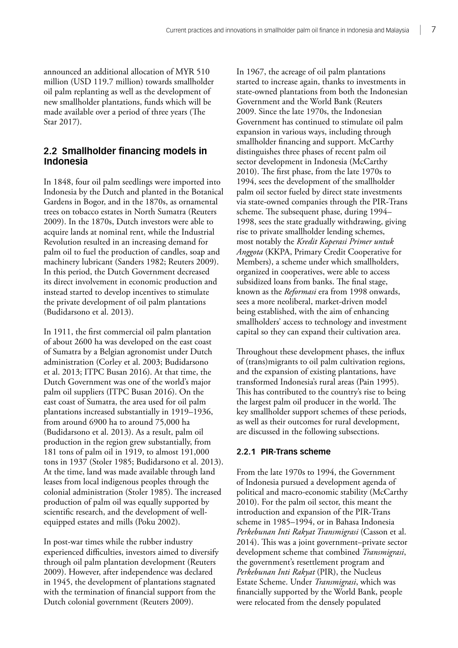<span id="page-16-0"></span>announced an additional allocation of MYR 510 million (USD 119.7 million) towards smallholder oil palm replanting as well as the development of new smallholder plantations, funds which will be made available over a period of three years (The Star 2017).

#### **2.2 Smallholder financing models in Indonesia**

In 1848, four oil palm seedlings were imported into Indonesia by the Dutch and planted in the Botanical Gardens in Bogor, and in the 1870s, as ornamental trees on tobacco estates in North Sumatra (Reuters 2009). In the 1870s, Dutch investors were able to acquire lands at nominal rent, while the Industrial Revolution resulted in an increasing demand for palm oil to fuel the production of candles, soap and machinery lubricant (Sanders 1982; Reuters 2009). In this period, the Dutch Government decreased its direct involvement in economic production and instead started to develop incentives to stimulate the private development of oil palm plantations (Budidarsono et al. 2013).

In 1911, the first commercial oil palm plantation of about 2600 ha was developed on the east coast of Sumatra by a Belgian agronomist under Dutch administration (Corley et al. 2003; Budidarsono et al. 2013; ITPC Busan 2016). At that time, the Dutch Government was one of the world's major palm oil suppliers (ITPC Busan 2016). On the east coast of Sumatra, the area used for oil palm plantations increased substantially in 1919–1936, from around 6900 ha to around 75,000 ha (Budidarsono et al. 2013). As a result, palm oil production in the region grew substantially, from 181 tons of palm oil in 1919, to almost 191,000 tons in 1937 (Stoler 1985; Budidarsono et al. 2013). At the time, land was made available through land leases from local indigenous peoples through the colonial administration (Stoler 1985). The increased production of palm oil was equally supported by scientific research, and the development of wellequipped estates and mills (Poku 2002).

In post-war times while the rubber industry experienced difficulties, investors aimed to diversify through oil palm plantation development (Reuters 2009). However, after independence was declared in 1945, the development of plantations stagnated with the termination of financial support from the Dutch colonial government (Reuters 2009).

In 1967, the acreage of oil palm plantations started to increase again, thanks to investments in state-owned plantations from both the Indonesian Government and the World Bank (Reuters 2009. Since the late 1970s, the Indonesian Government has continued to stimulate oil palm expansion in various ways, including through smallholder financing and support. McCarthy distinguishes three phases of recent palm oil sector development in Indonesia (McCarthy 2010). The first phase, from the late 1970s to 1994, sees the development of the smallholder palm oil sector fueled by direct state investments via state-owned companies through the PIR-Trans scheme. The subsequent phase, during 1994– 1998, sees the state gradually withdrawing, giving rise to private smallholder lending schemes, most notably the *Kredit Koperasi Primer untuk Anggota* (KKPA, Primary Credit Cooperative for Members), a scheme under which smallholders, organized in cooperatives, were able to access subsidized loans from banks. The final stage, known as the *Reformasi* era from 1998 onwards, sees a more neoliberal, market-driven model being established, with the aim of enhancing smallholders' access to technology and investment capital so they can expand their cultivation area.

Throughout these development phases, the influx of (trans)migrants to oil palm cultivation regions, and the expansion of existing plantations, have transformed Indonesia's rural areas (Pain 1995). This has contributed to the country's rise to being the largest palm oil producer in the world. The key smallholder support schemes of these periods, as well as their outcomes for rural development, are discussed in the following subsections.

#### **2.2.1 PIR-Trans scheme**

From the late 1970s to 1994, the Government of Indonesia pursued a development agenda of political and macro-economic stability (McCarthy 2010). For the palm oil sector, this meant the introduction and expansion of the PIR-Trans scheme in 1985–1994, or in Bahasa Indonesia *Perkebunan Inti Rakyat Transmigrasi* (Casson et al. 2014). This was a joint government–private sector development scheme that combined *Transmigrasi*, the government's resettlement program and *Perkebunan Inti Rakyat* (PIR), the Nucleus Estate Scheme. Under *Transmigrasi*, which was financially supported by the World Bank, people were relocated from the densely populated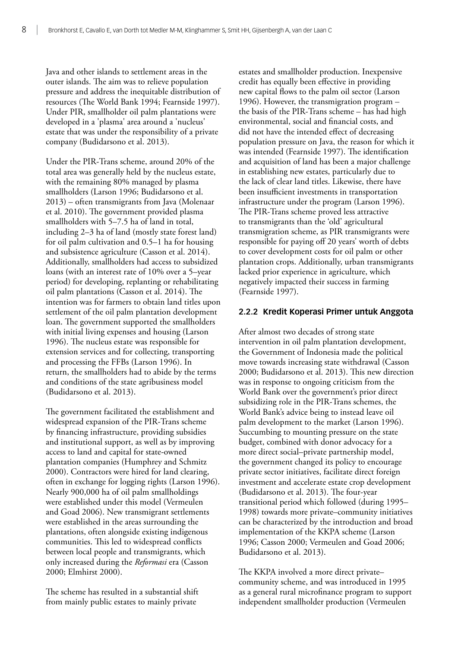Java and other islands to settlement areas in the outer islands. The aim was to relieve population pressure and address the inequitable distribution of resources (The World Bank 1994; Fearnside 1997). Under PIR, smallholder oil palm plantations were developed in a 'plasma' area around a 'nucleus' estate that was under the responsibility of a private company (Budidarsono et al. 2013).

Under the PIR-Trans scheme, around 20% of the total area was generally held by the nucleus estate, with the remaining 80% managed by plasma smallholders (Larson 1996; Budidarsono et al. 2013) – often transmigrants from Java (Molenaar et al. 2010). The government provided plasma smallholders with 5–7.5 ha of land in total, including 2–3 ha of land (mostly state forest land) for oil palm cultivation and 0.5–1 ha for housing and subsistence agriculture (Casson et al. 2014). Additionally, smallholders had access to subsidized loans (with an interest rate of 10% over a 5–year period) for developing, replanting or rehabilitating oil palm plantations (Casson et al. 2014). The intention was for farmers to obtain land titles upon settlement of the oil palm plantation development loan. The government supported the smallholders with initial living expenses and housing (Larson 1996). The nucleus estate was responsible for extension services and for collecting, transporting and processing the FFBs (Larson 1996). In return, the smallholders had to abide by the terms and conditions of the state agribusiness model (Budidarsono et al. 2013).

The government facilitated the establishment and widespread expansion of the PIR-Trans scheme by financing infrastructure, providing subsidies and institutional support, as well as by improving access to land and capital for state-owned plantation companies (Humphrey and Schmitz 2000). Contractors were hired for land clearing, often in exchange for logging rights (Larson 1996). Nearly 900,000 ha of oil palm smallholdings were established under this model (Vermeulen and Goad 2006). New transmigrant settlements were established in the areas surrounding the plantations, often alongside existing indigenous communities. This led to widespread conflicts between local people and transmigrants, which only increased during the *Reformasi* era (Casson 2000; Elmhirst 2000).

The scheme has resulted in a substantial shift from mainly public estates to mainly private

estates and smallholder production. Inexpensive credit has equally been effective in providing new capital flows to the palm oil sector (Larson 1996). However, the transmigration program – the basis of the PIR-Trans scheme – has had high environmental, social and financial costs, and did not have the intended effect of decreasing population pressure on Java, the reason for which it was intended (Fearnside 1997). The identification and acquisition of land has been a major challenge in establishing new estates, particularly due to the lack of clear land titles. Likewise, there have been insufficient investments in transportation infrastructure under the program (Larson 1996). The PIR-Trans scheme proved less attractive to transmigrants than the 'old' agricultural transmigration scheme, as PIR transmigrants were responsible for paying off 20 years' worth of debts to cover development costs for oil palm or other plantation crops. Additionally, urban transmigrants lacked prior experience in agriculture, which negatively impacted their success in farming (Fearnside 1997).

#### **2.2.2 Kredit Koperasi Primer untuk Anggota**

After almost two decades of strong state intervention in oil palm plantation development, the Government of Indonesia made the political move towards increasing state withdrawal (Casson 2000; Budidarsono et al. 2013). This new direction was in response to ongoing criticism from the World Bank over the government's prior direct subsidizing role in the PIR-Trans schemes, the World Bank's advice being to instead leave oil palm development to the market (Larson 1996). Succumbing to mounting pressure on the state budget, combined with donor advocacy for a more direct social–private partnership model, the government changed its policy to encourage private sector initiatives, facilitate direct foreign investment and accelerate estate crop development (Budidarsono et al. 2013). The four-year transitional period which followed (during 1995– 1998) towards more private–community initiatives can be characterized by the introduction and broad implementation of the KKPA scheme (Larson 1996; Casson 2000; Vermeulen and Goad 2006; Budidarsono et al. 2013).

The KKPA involved a more direct private– community scheme, and was introduced in 1995 as a general rural microfinance program to support independent smallholder production (Vermeulen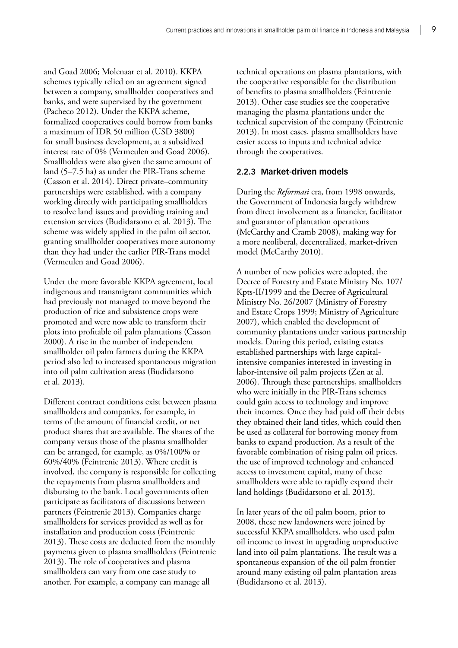and Goad 2006; Molenaar et al. 2010). KKPA schemes typically relied on an agreement signed between a company, smallholder cooperatives and banks, and were supervised by the government (Pacheco 2012). Under the KKPA scheme, formalized cooperatives could borrow from banks a maximum of IDR 50 million (USD 3800) for small business development, at a subsidized interest rate of 0% (Vermeulen and Goad 2006). Smallholders were also given the same amount of land (5–7.5 ha) as under the PIR-Trans scheme (Casson et al. 2014). Direct private–community partnerships were established, with a company working directly with participating smallholders to resolve land issues and providing training and extension services (Budidarsono et al. 2013). The scheme was widely applied in the palm oil sector, granting smallholder cooperatives more autonomy than they had under the earlier PIR-Trans model (Vermeulen and Goad 2006).

Under the more favorable KKPA agreement, local indigenous and transmigrant communities which had previously not managed to move beyond the production of rice and subsistence crops were promoted and were now able to transform their plots into profitable oil palm plantations (Casson 2000). A rise in the number of independent smallholder oil palm farmers during the KKPA period also led to increased spontaneous migration into oil palm cultivation areas (Budidarsono et al. 2013).

Different contract conditions exist between plasma smallholders and companies, for example, in terms of the amount of financial credit, or net product shares that are available. The shares of the company versus those of the plasma smallholder can be arranged, for example, as 0%/100% or 60%/40% (Feintrenie 2013). Where credit is involved, the company is responsible for collecting the repayments from plasma smallholders and disbursing to the bank. Local governments often participate as facilitators of discussions between partners (Feintrenie 2013). Companies charge smallholders for services provided as well as for installation and production costs (Feintrenie 2013). These costs are deducted from the monthly payments given to plasma smallholders (Feintrenie 2013). The role of cooperatives and plasma smallholders can vary from one case study to another. For example, a company can manage all

technical operations on plasma plantations, with the cooperative responsible for the distribution of benefits to plasma smallholders (Feintrenie 2013). Other case studies see the cooperative managing the plasma plantations under the technical supervision of the company (Feintrenie 2013). In most cases, plasma smallholders have easier access to inputs and technical advice through the cooperatives.

#### **2.2.3 Market-driven models**

During the *Reformasi* era, from 1998 onwards, the Government of Indonesia largely withdrew from direct involvement as a financier, facilitator and guarantor of plantation operations (McCarthy and Cramb 2008), making way for a more neoliberal, decentralized, market-driven model (McCarthy 2010).

A number of new policies were adopted, the Decree of Forestry and Estate Ministry No. 107/ Kpts-II/1999 and the Decree of Agricultural Ministry No. 26/2007 (Ministry of Forestry and Estate Crops 1999; Ministry of Agriculture 2007), which enabled the development of community plantations under various partnership models. During this period, existing estates established partnerships with large capitalintensive companies interested in investing in labor-intensive oil palm projects (Zen at al. 2006). Through these partnerships, smallholders who were initially in the PIR-Trans schemes could gain access to technology and improve their incomes. Once they had paid off their debts they obtained their land titles, which could then be used as collateral for borrowing money from banks to expand production. As a result of the favorable combination of rising palm oil prices, the use of improved technology and enhanced access to investment capital, many of these smallholders were able to rapidly expand their land holdings (Budidarsono et al. 2013).

In later years of the oil palm boom, prior to 2008, these new landowners were joined by successful KKPA smallholders, who used palm oil income to invest in upgrading unproductive land into oil palm plantations. The result was a spontaneous expansion of the oil palm frontier around many existing oil palm plantation areas (Budidarsono et al. 2013).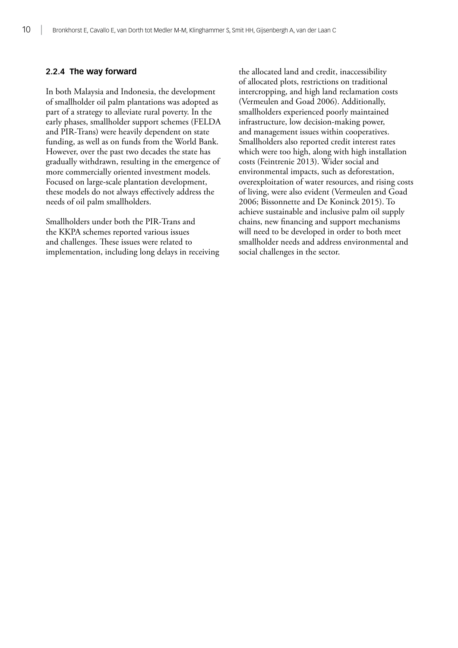#### **2.2.4 The way forward**

In both Malaysia and Indonesia, the development of smallholder oil palm plantations was adopted as part of a strategy to alleviate rural poverty. In the early phases, smallholder support schemes (FELDA and PIR-Trans) were heavily dependent on state funding, as well as on funds from the World Bank. However, over the past two decades the state has gradually withdrawn, resulting in the emergence of more commercially oriented investment models. Focused on large-scale plantation development, these models do not always effectively address the needs of oil palm smallholders.

Smallholders under both the PIR-Trans and the KKPA schemes reported various issues and challenges. These issues were related to implementation, including long delays in receiving the allocated land and credit, inaccessibility of allocated plots, restrictions on traditional intercropping, and high land reclamation costs (Vermeulen and Goad 2006). Additionally, smallholders experienced poorly maintained infrastructure, low decision-making power, and management issues within cooperatives. Smallholders also reported credit interest rates which were too high, along with high installation costs (Feintrenie 2013). Wider social and environmental impacts, such as deforestation, overexploitation of water resources, and rising costs of living, were also evident (Vermeulen and Goad 2006; Bissonnette and De Koninck 2015). To achieve sustainable and inclusive palm oil supply chains, new financing and support mechanisms will need to be developed in order to both meet smallholder needs and address environmental and social challenges in the sector.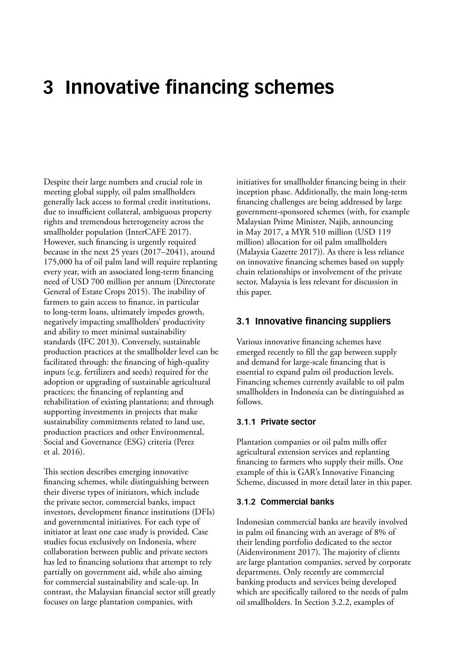### <span id="page-20-0"></span>**3 Innovative financing schemes**

Despite their large numbers and crucial role in meeting global supply, oil palm smallholders generally lack access to formal credit institutions, due to insufficient collateral, ambiguous property rights and tremendous heterogeneity across the smallholder population (InterCAFE 2017). However, such financing is urgently required because in the next 25 years (2017–2041), around 175,000 ha of oil palm land will require replanting every year, with an associated long-term financing need of USD 700 million per annum (Directorate General of Estate Crops 2015). The inability of farmers to gain access to finance, in particular to long-term loans, ultimately impedes growth, negatively impacting smallholders' productivity and ability to meet minimal sustainability standards (IFC 2013). Conversely, sustainable production practices at the smallholder level can be facilitated through: the financing of high-quality inputs (e.g. fertilizers and seeds) required for the adoption or upgrading of sustainable agricultural practices; the financing of replanting and rehabilitation of existing plantations; and through supporting investments in projects that make sustainability commitments related to land use, production practices and other Environmental, Social and Governance (ESG) criteria (Perez et al. 2016).

This section describes emerging innovative financing schemes, while distinguishing between their diverse types of initiators, which include the private sector, commercial banks, impact investors, development finance institutions (DFIs) and governmental initiatives. For each type of initiator at least one case study is provided. Case studies focus exclusively on Indonesia, where collaboration between public and private sectors has led to financing solutions that attempt to rely partially on government aid, while also aiming for commercial sustainability and scale-up. In contrast, the Malaysian financial sector still greatly focuses on large plantation companies, with

initiatives for smallholder financing being in their inception phase. Additionally, the main long-term financing challenges are being addressed by large government-sponsored schemes (with, for example Malaysian Prime Minister, Najib, announcing in May 2017, a MYR 510 million (USD 119 million) allocation for oil palm smallholders (Malaysia Gazette 2017)). As there is less reliance on innovative financing schemes based on supply chain relationships or involvement of the private sector, Malaysia is less relevant for discussion in this paper.

#### **3.1 Innovative financing suppliers**

Various innovative financing schemes have emerged recently to fill the gap between supply and demand for large-scale financing that is essential to expand palm oil production levels. Financing schemes currently available to oil palm smallholders in Indonesia can be distinguished as follows.

#### **3.1.1 Private sector**

Plantation companies or oil palm mills offer agricultural extension services and replanting financing to farmers who supply their mills. One example of this is GAR's Innovative Financing Scheme, discussed in more detail later in this paper.

#### **3.1.2 Commercial banks**

Indonesian commercial banks are heavily involved in palm oil financing with an average of 8% of their lending portfolio dedicated to the sector (Aidenvironment 2017). The majority of clients are large plantation companies, served by corporate departments. Only recently are commercial banking products and services being developed which are specifically tailored to the needs of palm oil smallholders. In Section 3.2.2, examples of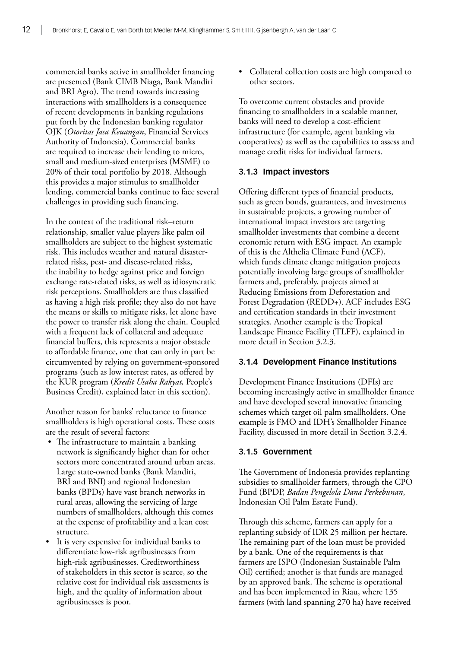commercial banks active in smallholder financing are presented (Bank CIMB Niaga, Bank Mandiri and BRI Agro). The trend towards increasing interactions with smallholders is a consequence of recent developments in banking regulations put forth by the Indonesian banking regulator OJK (*Otoritas Jasa Keuangan*, Financial Services Authority of Indonesia). Commercial banks are required to increase their lending to micro, small and medium-sized enterprises (MSME) to 20% of their total portfolio by 2018. Although this provides a major stimulus to smallholder lending, commercial banks continue to face several challenges in providing such financing.

In the context of the traditional risk–return relationship, smaller value players like palm oil smallholders are subject to the highest systematic risk. This includes weather and natural disasterrelated risks, pest- and disease-related risks, the inability to hedge against price and foreign exchange rate-related risks, as well as idiosyncratic risk perceptions. Smallholders are thus classified as having a high risk profile; they also do not have the means or skills to mitigate risks, let alone have the power to transfer risk along the chain. Coupled with a frequent lack of collateral and adequate financial buffers, this represents a major obstacle to affordable finance, one that can only in part be circumvented by relying on government-sponsored programs (such as low interest rates, as offered by the KUR program (*Kredit Usaha Rakyat,* People's Business Credit), explained later in this section).

Another reason for banks' reluctance to finance smallholders is high operational costs. These costs are the result of several factors:

- The infrastructure to maintain a banking network is significantly higher than for other sectors more concentrated around urban areas. Large state-owned banks (Bank Mandiri, BRI and BNI) and regional Indonesian banks (BPDs) have vast branch networks in rural areas, allowing the servicing of large numbers of smallholders, although this comes at the expense of profitability and a lean cost structure.
- It is very expensive for individual banks to differentiate low-risk agribusinesses from high-risk agribusinesses. Creditworthiness of stakeholders in this sector is scarce, so the relative cost for individual risk assessments is high, and the quality of information about agribusinesses is poor.

• Collateral collection costs are high compared to other sectors.

To overcome current obstacles and provide financing to smallholders in a scalable manner, banks will need to develop a cost-efficient infrastructure (for example, agent banking via cooperatives) as well as the capabilities to assess and manage credit risks for individual farmers.

#### **3.1.3 Impact investors**

Offering different types of financial products, such as green bonds, guarantees, and investments in sustainable projects, a growing number of international impact investors are targeting smallholder investments that combine a decent economic return with ESG impact. An example of this is the Althelia Climate Fund (ACF), which funds climate change mitigation projects potentially involving large groups of smallholder farmers and, preferably, projects aimed at Reducing Emissions from Deforestation and Forest Degradation (REDD+). ACF includes ESG and certification standards in their investment strategies. Another example is the Tropical Landscape Finance Facility (TLFF), explained in more detail in Section 3.2.3.

#### **3.1.4 Development Finance Institutions**

Development Finance Institutions (DFIs) are becoming increasingly active in smallholder finance and have developed several innovative financing schemes which target oil palm smallholders. One example is FMO and IDH's Smallholder Finance Facility, discussed in more detail in Section 3.2.4.

#### **3.1.5 Government**

The Government of Indonesia provides replanting subsidies to smallholder farmers, through the CPO Fund (BPDP, *Badan Pengelola Dana Perkebunan*, Indonesian Oil Palm Estate Fund).

Through this scheme, farmers can apply for a replanting subsidy of IDR 25 million per hectare. The remaining part of the loan must be provided by a bank. One of the requirements is that farmers are ISPO (Indonesian Sustainable Palm Oil) certified; another is that funds are managed by an approved bank. The scheme is operational and has been implemented in Riau, where 135 farmers (with land spanning 270 ha) have received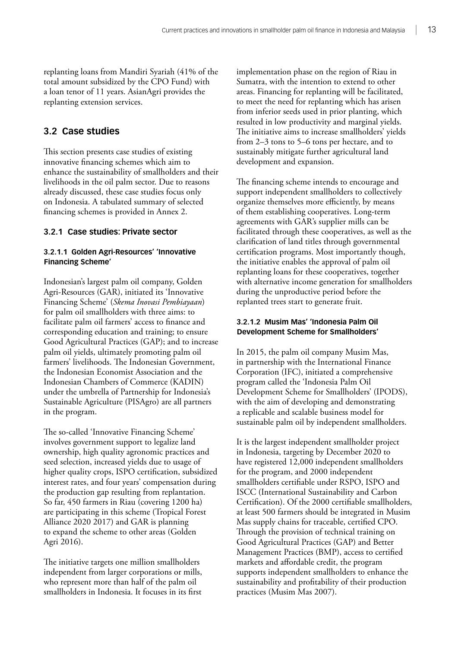<span id="page-22-0"></span>replanting loans from Mandiri Syariah (41% of the total amount subsidized by the CPO Fund) with a loan tenor of 11 years. AsianAgri provides the replanting extension services.

### **3.2 Case studies**

This section presents case studies of existing innovative financing schemes which aim to enhance the sustainability of smallholders and their livelihoods in the oil palm sector. Due to reasons already discussed, these case studies focus only on Indonesia. A tabulated summary of selected financing schemes is provided in Annex 2.

#### **3.2.1 Case studies: Private sector**

#### **3.2.1.1 Golden Agri-Resources' 'Innovative Financing Scheme'**

Indonesian's largest palm oil company, Golden Agri-Resources (GAR), initiated its 'Innovative Financing Scheme' (*Skema Inovasi Pembiayaan*) for palm oil smallholders with three aims: to facilitate palm oil farmers' access to finance and corresponding education and training; to ensure Good Agricultural Practices (GAP); and to increase palm oil yields, ultimately promoting palm oil farmers' livelihoods. The Indonesian Government, the Indonesian Economist Association and the Indonesian Chambers of Commerce (KADIN) under the umbrella of Partnership for Indonesia's Sustainable Agriculture (PISAgro) are all partners in the program.

The so-called 'Innovative Financing Scheme' involves government support to legalize land ownership, high quality agronomic practices and seed selection, increased yields due to usage of higher quality crops, ISPO certification, subsidized interest rates, and four years' compensation during the production gap resulting from replantation. So far, 450 farmers in Riau (covering 1200 ha) are participating in this scheme (Tropical Forest Alliance 2020 2017) and GAR is planning to expand the scheme to other areas (Golden Agri 2016).

The initiative targets one million smallholders independent from larger corporations or mills, who represent more than half of the palm oil smallholders in Indonesia. It focuses in its first

implementation phase on the region of Riau in Sumatra, with the intention to extend to other areas. Financing for replanting will be facilitated, to meet the need for replanting which has arisen from inferior seeds used in prior planting, which resulted in low productivity and marginal yields. The initiative aims to increase smallholders' yields from 2–3 tons to 5–6 tons per hectare, and to sustainably mitigate further agricultural land development and expansion.

The financing scheme intends to encourage and support independent smallholders to collectively organize themselves more efficiently, by means of them establishing cooperatives. Long-term agreements with GAR's supplier mills can be facilitated through these cooperatives, as well as the clarification of land titles through governmental certification programs. Most importantly though, the initiative enables the approval of palm oil replanting loans for these cooperatives, together with alternative income generation for smallholders during the unproductive period before the replanted trees start to generate fruit.

#### **3.2.1.2 Musim Mas' 'Indonesia Palm Oil Development Scheme for Smallholders'**

In 2015, the palm oil company Musim Mas, in partnership with the International Finance Corporation (IFC), initiated a comprehensive program called the 'Indonesia Palm Oil Development Scheme for Smallholders' (IPODS), with the aim of developing and demonstrating a replicable and scalable business model for sustainable palm oil by independent smallholders.

It is the largest independent smallholder project in Indonesia, targeting by December 2020 to have registered 12,000 independent smallholders for the program, and 2000 independent smallholders certifiable under RSPO, ISPO and ISCC (International Sustainability and Carbon Certification). Of the 2000 certifiable smallholders, at least 500 farmers should be integrated in Musim Mas supply chains for traceable, certified CPO. Through the provision of technical training on Good Agricultural Practices (GAP) and Better Management Practices (BMP), access to certified markets and affordable credit, the program supports independent smallholders to enhance the sustainability and profitability of their production practices (Musim Mas 2007).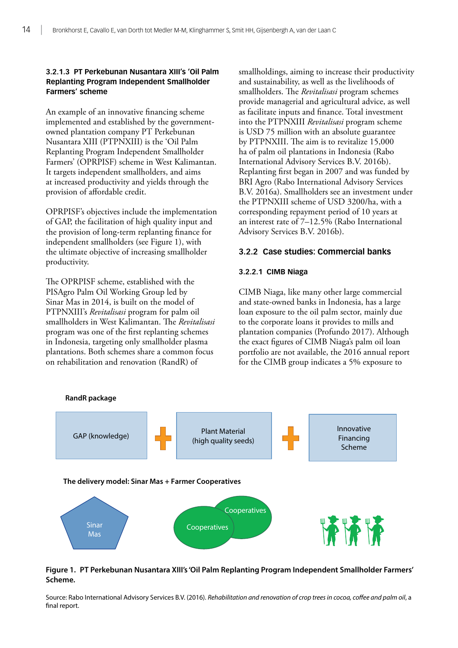#### **3.2.1.3 PT Perkebunan Nusantara XIII's 'Oil Palm Replanting Program Independent Smallholder Farmers' scheme**

An example of an innovative financing scheme implemented and established by the governmentowned plantation company PT Perkebunan Nusantara XIII (PTPNXIII) is the 'Oil Palm Replanting Program Independent Smallholder Farmers' (OPRPISF) scheme in West Kalimantan. It targets independent smallholders, and aims at increased productivity and yields through the provision of affordable credit.

OPRPISF's objectives include the implementation of GAP, the facilitation of high quality input and the provision of long-term replanting finance for independent smallholders (see Figure 1), with the ultimate objective of increasing smallholder productivity.

The OPRPISF scheme, established with the PISAgro Palm Oil Working Group led by Sinar Mas in 2014, is built on the model of PTPNXIII's *Revitalisasi* program for palm oil smallholders in West Kalimantan. The *Revitalisasi* program was one of the first replanting schemes in Indonesia, targeting only smallholder plasma plantations. Both schemes share a common focus on rehabilitation and renovation (RandR) of

smallholdings, aiming to increase their productivity and sustainability, as well as the livelihoods of smallholders. The *Revitalisasi* program schemes provide managerial and agricultural advice, as well as facilitate inputs and finance. Total investment into the PTPNXIII *Revitalisasi* program scheme is USD 75 million with an absolute guarantee by PTPNXIII. The aim is to revitalize 15,000 ha of palm oil plantations in Indonesia ([Rabo](https://www.agrifinfacility.org/event/webinar-financing-renovation-and-rehabilitation-tree-crops-lessons-rabo-international-advisory)  [International Advisory](https://www.agrifinfacility.org/event/webinar-financing-renovation-and-rehabilitation-tree-crops-lessons-rabo-international-advisory) Services B.V. 2016b). Replanting first began in 2007 and was funded by BRI Agro ([Rabo International Advisory](https://www.agrifinfacility.org/event/webinar-financing-renovation-and-rehabilitation-tree-crops-lessons-rabo-international-advisory) Services B.V. 2016a). Smallholders see an investment under the PTPNXIII scheme of USD 3200/ha, with a corresponding repayment period of 10 years at an interest rate of 7–12.5% ([Rabo International](https://www.agrifinfacility.org/event/webinar-financing-renovation-and-rehabilitation-tree-crops-lessons-rabo-international-advisory)  [Advisory](https://www.agrifinfacility.org/event/webinar-financing-renovation-and-rehabilitation-tree-crops-lessons-rabo-international-advisory) Services B.V. 2016b).

#### **3.2.2 Case studies: Commercial banks**

#### **3.2.2.1 CIMB Niaga**

CIMB Niaga, like many other large commercial and state-owned banks in Indonesia, has a large loan exposure to the oil palm sector, mainly due to the corporate loans it provides to mills and plantation companies (Profundo 2017). Although the exact figures of CIMB Niaga's palm oil loan portfolio are not available, the 2016 annual report for the CIMB group indicates a 5% exposure to



#### **Figure 1. PT Perkebunan Nusantara XIII's 'Oil Palm Replanting Program Independent Smallholder Farmers' Scheme.**

Source: [Rabo International Advisory](https://www.agrifinfacility.org/event/webinar-financing-renovation-and-rehabilitation-tree-crops-lessons-rabo-international-advisory) Services B.V. (2016). *Rehabilitation and renovation of crop trees in cocoa, coffee and palm oil*, a final report.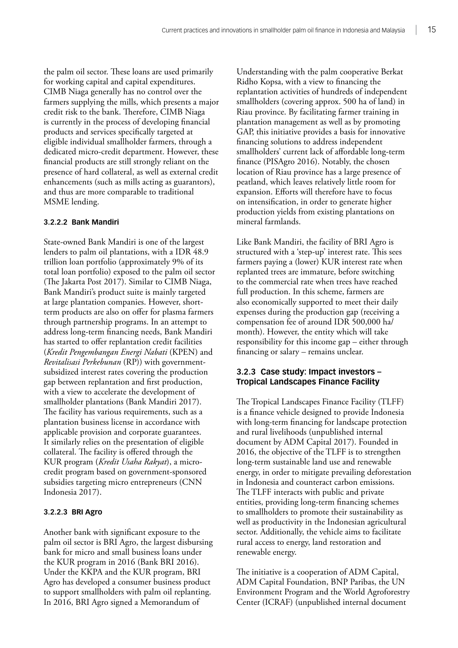the palm oil sector. These loans are used primarily for working capital and capital expenditures. CIMB Niaga generally has no control over the farmers supplying the mills, which presents a major credit risk to the bank. Therefore, CIMB Niaga is currently in the process of developing financial products and services specifically targeted at eligible individual smallholder farmers, through a dedicated micro-credit department. However, these financial products are still strongly reliant on the presence of hard collateral, as well as external credit enhancements (such as mills acting as guarantors), and thus are more comparable to traditional MSME lending.

#### **3.2.2.2 Bank Mandiri**

State-owned Bank Mandiri is one of the largest lenders to palm oil plantations, with a IDR 48.9 trillion loan portfolio (approximately 9% of its total loan portfolio) exposed to the palm oil sector (The Jakarta Post 2017). Similar to CIMB Niaga, Bank Mandiri's product suite is mainly targeted at large plantation companies. However, shortterm products are also on offer for plasma farmers through partnership programs. In an attempt to address long-term financing needs, Bank Mandiri has started to offer replantation credit facilities (*Kredit Pengembangan Energi Nabati* (KPEN) and *Revitalisasi Perkebunan* (RP)) with governmentsubsidized interest rates covering the production gap between replantation and first production, with a view to accelerate the development of smallholder plantations (Bank Mandiri 2017). The facility has various requirements, such as a plantation business license in accordance with applicable provision and corporate guarantees. It similarly relies on the presentation of eligible collateral. The facility is offered through the KUR program (*Kredit Usaha Rakyat*), a microcredit program based on government-sponsored subsidies targeting micro entrepreneurs (CNN Indonesia 2017).

#### **3.2.2.3 BRI Agro**

Another bank with significant exposure to the palm oil sector is BRI Agro, the largest disbursing bank for micro and small business loans under the KUR program in 2016 (Bank BRI 2016). Under the KKPA and the KUR program, BRI Agro has developed a consumer business product to support smallholders with palm oil replanting. In 2016, BRI Agro signed a Memorandum of

Understanding with the palm cooperative Berkat Ridho Kopsa, with a view to financing the replantation activities of hundreds of independent smallholders (covering approx. 500 ha of land) in Riau province. By facilitating farmer training in plantation management as well as by promoting GAP, this initiative provides a basis for innovative financing solutions to address independent smallholders' current lack of affordable long-term finance (PISAgro 2016). Notably, the chosen location of Riau province has a large presence of peatland, which leaves relatively little room for expansion. Efforts will therefore have to focus on intensification, in order to generate higher production yields from existing plantations on mineral farmlands.

Like Bank Mandiri, the facility of BRI Agro is structured with a 'step-up' interest rate. This sees farmers paying a (lower) KUR interest rate when replanted trees are immature, before switching to the commercial rate when trees have reached full production. In this scheme, farmers are also economically supported to meet their daily expenses during the production gap (receiving a compensation fee of around IDR 500,000 ha/ month). However, the entity which will take responsibility for this income gap – either through financing or salary – remains unclear.

#### **3.2.3 Case study: Impact investors – Tropical Landscapes Finance Facility**

The Tropical Landscapes Finance Facility (TLFF) is a finance vehicle designed to provide Indonesia with long-term financing for landscape protection and rural livelihoods (unpublished internal document by ADM Capital 2017). Founded in 2016, the objective of the TLFF is to strengthen long-term sustainable land use and renewable energy, in order to mitigate prevailing deforestation in Indonesia and counteract carbon emissions. The TLFF interacts with public and private entities, providing long-term financing schemes to smallholders to promote their sustainability as well as productivity in the Indonesian agricultural sector. Additionally, the vehicle aims to facilitate rural access to energy, land restoration and renewable energy.

The initiative is a cooperation of ADM Capital, ADM Capital Foundation, BNP Paribas, the UN Environment Program and the World Agroforestry Center (ICRAF) (unpublished internal document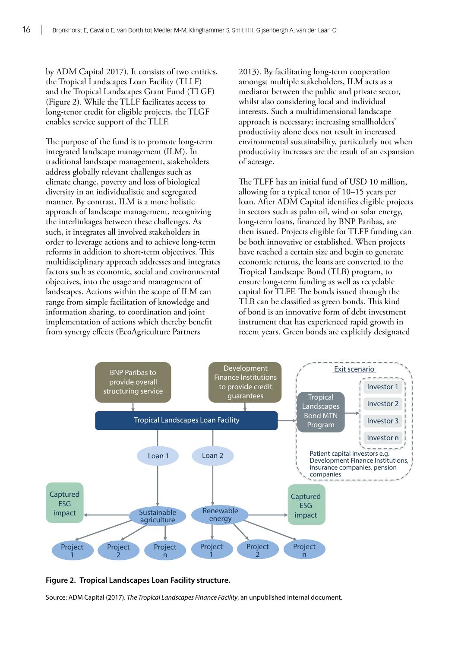by ADM Capital 2017). It consists of two entities, the Tropical Landscapes Loan Facility (TLLF) and the Tropical Landscapes Grant Fund (TLGF) (Figure 2). While the TLLF facilitates access to long-tenor credit for eligible projects, the TLGF enables service support of the TLLF.

The purpose of the fund is to promote long-term integrated landscape management (ILM). In traditional landscape management, stakeholders address globally relevant challenges such as climate change, poverty and loss of biological diversity in an individualistic and segregated manner. By contrast, ILM is a more holistic approach of landscape management, recognizing the interlinkages between these challenges. As such, it integrates all involved stakeholders in order to leverage actions and to achieve long-term reforms in addition to short-term objectives. This multidisciplinary approach addresses and integrates factors such as economic, social and environmental objectives, into the usage and management of landscapes. Actions within the scope of ILM can range from simple facilitation of knowledge and information sharing, to coordination and joint implementation of actions which thereby benefit from synergy effects (EcoAgriculture Partners

2013). By facilitating long-term cooperation amongst multiple stakeholders, ILM acts as a mediator between the public and private sector, whilst also considering local and individual interests. Such a multidimensional landscape approach is necessary; increasing smallholders' productivity alone does not result in increased environmental sustainability, particularly not when productivity increases are the result of an expansion of acreage.

The TLFF has an initial fund of USD 10 million, allowing for a typical tenor of 10–15 years per loan. After ADM Capital identifies eligible projects in sectors such as palm oil, wind or solar energy, long-term loans, financed by BNP Paribas, are then issued. Projects eligible for TLFF funding can be both innovative or established. When projects have reached a certain size and begin to generate economic returns, the loans are converted to the Tropical Landscape Bond (TLB) program, to ensure long-term funding as well as recyclable capital for TLFF. The bonds issued through the TLB can be classified as green bonds. This kind of bond is an innovative form of debt investment instrument that has experienced rapid growth in recent years. Green bonds are explicitly designated



**Figure 2. Tropical Landscapes Loan Facility structure.**

Source: ADM Capital (2017). *The Tropical Landscapes Finance Facility*, an unpublished internal document.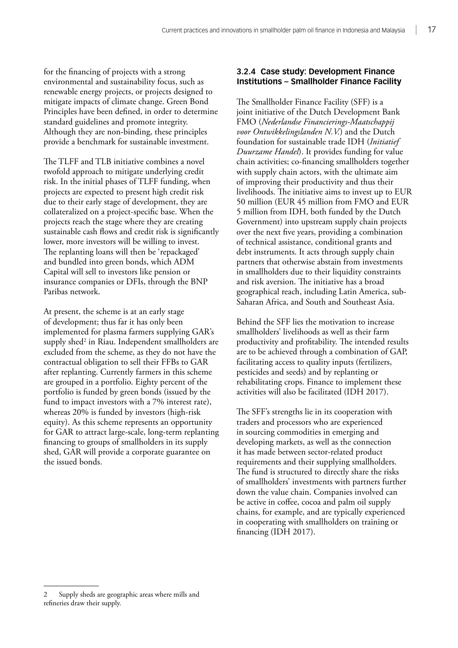for the financing of projects with a strong environmental and sustainability focus, such as renewable energy projects, or projects designed to mitigate impacts of climate change. Green Bond Principles have been defined, in order to determine standard guidelines and promote integrity. Although they are non-binding, these principles provide a benchmark for sustainable investment.

The TLFF and TLB initiative combines a novel twofold approach to mitigate underlying credit risk. In the initial phases of TLFF funding, when projects are expected to present high credit risk due to their early stage of development, they are collateralized on a project-specific base. When the projects reach the stage where they are creating sustainable cash flows and credit risk is significantly lower, more investors will be willing to invest. The replanting loans will then be 'repackaged' and bundled into green bonds, which ADM Capital will sell to investors like pension or insurance companies or DFIs, through the BNP Paribas network.

At present, the scheme is at an early stage of development; thus far it has only been implemented for plasma farmers supplying GAR's supply shed<sup>2</sup> in Riau. Independent smallholders are excluded from the scheme, as they do not have the contractual obligation to sell their FFBs to GAR after replanting. Currently farmers in this scheme are grouped in a portfolio. Eighty percent of the portfolio is funded by green bonds (issued by the fund to impact investors with a 7% interest rate), whereas 20% is funded by investors (high-risk equity). As this scheme represents an opportunity for GAR to attract large-scale, long-term replanting financing to groups of smallholders in its supply shed, GAR will provide a corporate guarantee on the issued bonds.

#### **3.2.4 Case study: Development Finance Institutions – Smallholder Finance Facility**

The Smallholder Finance Facility (SFF) is a joint initiative of the Dutch Development Bank FMO (*Nederlandse Financierings-Maatschappij voor Ontwikkelingslanden N.V.*) and the Dutch foundation for sustainable trade IDH (*Initiatief Duurzame Handel*). It provides funding for value chain activities; co-financing smallholders together with supply chain actors, with the ultimate aim of improving their productivity and thus their livelihoods. The initiative aims to invest up to EUR 50 million (EUR 45 million from FMO and EUR 5 million from IDH, both funded by the Dutch Government) into upstream supply chain projects over the next five years, providing a combination of technical assistance, conditional grants and debt instruments. It acts through supply chain partners that otherwise abstain from investments in smallholders due to their liquidity constraints and risk aversion. The initiative has a broad geographical reach, including Latin America, sub-Saharan Africa, and South and Southeast Asia.

Behind the SFF lies the motivation to increase smallholders' livelihoods as well as their farm productivity and profitability. The intended results are to be achieved through a combination of GAP, facilitating access to quality inputs (fertilizers, pesticides and seeds) and by replanting or rehabilitating crops. Finance to implement these activities will also be facilitated (IDH 2017).

The SFF's strengths lie in its cooperation with traders and processors who are experienced in sourcing commodities in emerging and developing markets, as well as the connection it has made between sector-related product requirements and their supplying smallholders. The fund is structured to directly share the risks of smallholders' investments with partners further down the value chain. Companies involved can be active in coffee, cocoa and palm oil supply chains, for example, and are typically experienced in cooperating with smallholders on training or financing (IDH 2017).

Supply sheds are geographic areas where mills and refineries draw their supply.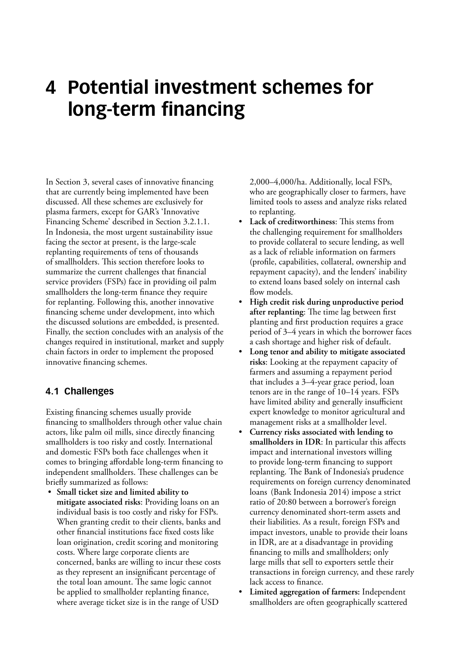### <span id="page-27-0"></span>**4 Potential investment schemes for long-term financing**

In Section 3, several cases of innovative financing that are currently being implemented have been discussed. All these schemes are exclusively for plasma farmers, except for GAR's 'Innovative Financing Scheme' described in Section 3.2.1.1. In Indonesia, the most urgent sustainability issue facing the sector at present, is the large-scale replanting requirements of tens of thousands of smallholders. This section therefore looks to summarize the current challenges that financial service providers (FSPs) face in providing oil palm smallholders the long-term finance they require for replanting. Following this, another innovative financing scheme under development, into which the discussed solutions are embedded, is presented. Finally, the section concludes with an analysis of the changes required in institutional, market and supply chain factors in order to implement the proposed innovative financing schemes.

#### **4.1 Challenges**

Existing financing schemes usually provide financing to smallholders through other value chain actors, like palm oil mills, since directly financing smallholders is too risky and costly. International and domestic FSPs both face challenges when it comes to bringing affordable long-term financing to independent smallholders. These challenges can be briefly summarized as follows:

• **Small ticket size and limited ability to mitigate associated risks**: Providing loans on an individual basis is too costly and risky for FSPs. When granting credit to their clients, banks and other financial institutions face fixed costs like loan origination, credit scoring and monitoring costs. Where large corporate clients are concerned, banks are willing to incur these costs as they represent an insignificant percentage of the total loan amount. The same logic cannot be applied to smallholder replanting finance, where average ticket size is in the range of USD

2,000–4,000/ha. Additionally, local FSPs, who are geographically closer to farmers, have limited tools to assess and analyze risks related to replanting.

- **Lack of creditworthiness**: This stems from the challenging requirement for smallholders to provide collateral to secure lending, as well as a lack of reliable information on farmers (profile, capabilities, collateral, ownership and repayment capacity), and the lenders' inability to extend loans based solely on internal cash flow models.
- **High credit risk during unproductive period after replanting**: The time lag between first planting and first production requires a grace period of 3–4 years in which the borrower faces a cash shortage and higher risk of default.
- **Long tenor and ability to mitigate associated risks**: Looking at the repayment capacity of farmers and assuming a repayment period that includes a 3–4-year grace period, loan tenors are in the range of 10–14 years. FSPs have limited ability and generally insufficient expert knowledge to monitor agricultural and management risks at a smallholder level.
- **Currency risks associated with lending to smallholders in IDR**: In particular this affects impact and international investors willing to provide long-term financing to support replanting. The Bank of Indonesia's prudence requirements on foreign currency denominated loans (Bank Indonesia 2014) impose a strict ratio of 20:80 between a borrower's foreign currency denominated short-term assets and their liabilities. As a result, foreign FSPs and impact investors, unable to provide their loans in IDR, are at a disadvantage in providing financing to mills and smallholders; only large mills that sell to exporters settle their transactions in foreign currency, and these rarely lack access to finance.
- **Limited aggregation of farmers:** Independent smallholders are often geographically scattered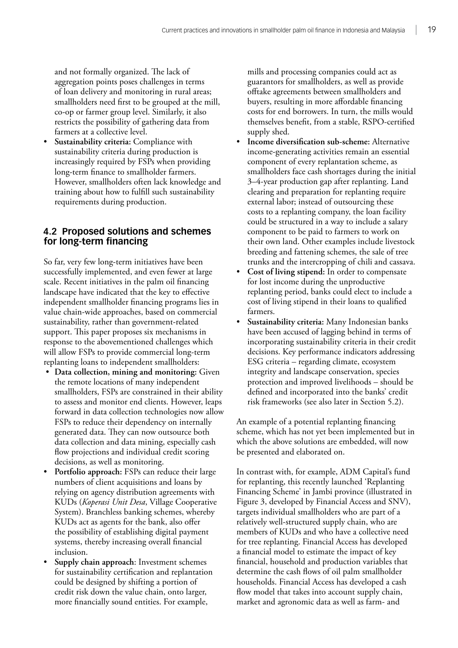<span id="page-28-0"></span>and not formally organized. The lack of aggregation points poses challenges in terms of loan delivery and monitoring in rural areas; smallholders need first to be grouped at the mill, co-op or farmer group level. Similarly, it also restricts the possibility of gathering data from farmers at a collective level.

• **Sustainability criteria:** Compliance with sustainability criteria during production is increasingly required by FSPs when providing long-term finance to smallholder farmers. However, smallholders often lack knowledge and training about how to fulfill such sustainability requirements during production.

#### **4.2 Proposed solutions and schemes for long-term financing**

So far, very few long-term initiatives have been successfully implemented, and even fewer at large scale. Recent initiatives in the palm oil financing landscape have indicated that the key to effective independent smallholder financing programs lies in value chain-wide approaches, based on commercial sustainability, rather than government-related support. This paper proposes six mechanisms in response to the abovementioned challenges which will allow FSPs to provide commercial long-term replanting loans to independent smallholders:

- **Data collection, mining and monitoring:** Given the remote locations of many independent smallholders, FSPs are constrained in their ability to assess and monitor end clients. However, leaps forward in data collection technologies now allow FSPs to reduce their dependency on internally generated data. They can now outsource both data collection and data mining, especially cash flow projections and individual credit scoring decisions, as well as monitoring.
- **Portfolio approach:** FSPs can reduce their large numbers of client acquisitions and loans by relying on agency distribution agreements with KUDs (*Koperasi Unit Desa*, Village Cooperative System). Branchless banking schemes, whereby KUDs act as agents for the bank, also offer the possibility of establishing digital payment systems, thereby increasing overall financial inclusion.
- **Supply chain approach**: Investment schemes for sustainability certification and replantation could be designed by shifting a portion of credit risk down the value chain, onto larger, more financially sound entities. For example,

mills and processing companies could act as guarantors for smallholders, as well as provide offtake agreements between smallholders and buyers, resulting in more affordable financing costs for end borrowers. In turn, the mills would themselves benefit, from a stable, RSPO-certified supply shed.

- **Income diversification sub-scheme:** Alternative income-generating activities remain an essential component of every replantation scheme, as smallholders face cash shortages during the initial 3–4-year production gap after replanting. Land clearing and preparation for replanting require external labor; instead of outsourcing these costs to a replanting company, the loan facility could be structured in a way to include a salary component to be paid to farmers to work on their own land. Other examples include livestock breeding and fattening schemes, the sale of tree trunks and the intercropping of chili and cassava.
- **Cost of living stipend:** In order to compensate for lost income during the unproductive replanting period, banks could elect to include a cost of living stipend in their loans to qualified farmers.
- **Sustainability criteria:** Many Indonesian banks have been accused of lagging behind in terms of incorporating sustainability criteria in their credit decisions. Key performance indicators addressing ESG criteria – regarding climate, ecosystem integrity and landscape conservation, species protection and improved livelihoods – should be defined and incorporated into the banks' credit risk frameworks (see also later in Section 5.2).

An example of a potential replanting financing scheme, which has not yet been implemented but in which the above solutions are embedded, will now be presented and elaborated on.

In contrast with, for example, ADM Capital's fund for replanting, this recently launched 'Replanting Financing Scheme' in Jambi province (illustrated in Figure 3, developed by Financial Access and SNV), targets individual smallholders who are part of a relatively well-structured supply chain, who are members of KUDs and who have a collective need for tree replanting. Financial Access has developed a financial model to estimate the impact of key financial, household and production variables that determine the cash flows of oil palm smallholder households. Financial Access has developed a cash flow model that takes into account supply chain, market and agronomic data as well as farm- and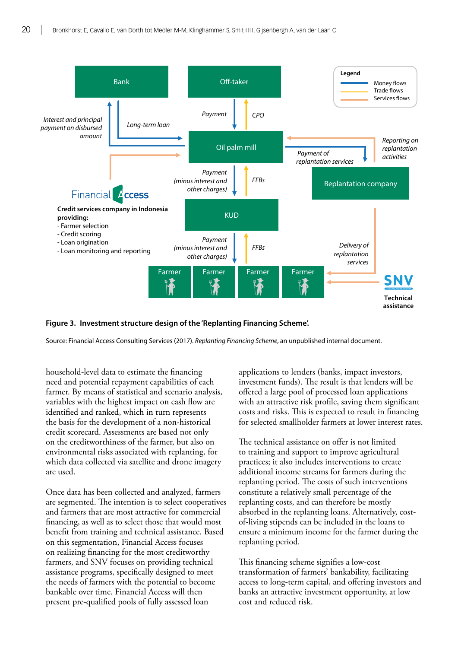

#### **Figure 3. Investment structure design of the 'Replanting Financing Scheme'.**

Source: Financial Access Consulting Services (2017). *Replanting Financing Scheme*, an unpublished internal document.

household-level data to estimate the financing need and potential repayment capabilities of each farmer. By means of statistical and scenario analysis, variables with the highest impact on cash flow are identified and ranked, which in turn represents the basis for the development of a non-historical credit scorecard. Assessments are based not only on the creditworthiness of the farmer, but also on environmental risks associated with replanting, for which data collected via satellite and drone imagery are used.

Once data has been collected and analyzed, farmers are segmented. The intention is to select cooperatives and farmers that are most attractive for commercial financing, as well as to select those that would most benefit from training and technical assistance. Based on this segmentation, Financial Access focuses on realizing financing for the most creditworthy farmers, and SNV focuses on providing technical assistance programs, specifically designed to meet the needs of farmers with the potential to become bankable over time. Financial Access will then present pre-qualified pools of fully assessed loan

applications to lenders (banks, impact investors, investment funds). The result is that lenders will be offered a large pool of processed loan applications with an attractive risk profile, saving them significant costs and risks. This is expected to result in financing for selected smallholder farmers at lower interest rates.

The technical assistance on offer is not limited to training and support to improve agricultural practices; it also includes interventions to create additional income streams for farmers during the replanting period. The costs of such interventions constitute a relatively small percentage of the replanting costs, and can therefore be mostly absorbed in the replanting loans. Alternatively, costof-living stipends can be included in the loans to ensure a minimum income for the farmer during the replanting period.

This financing scheme signifies a low-cost transformation of farmers' bankability, facilitating access to long-term capital, and offering investors and banks an attractive investment opportunity, at low cost and reduced risk.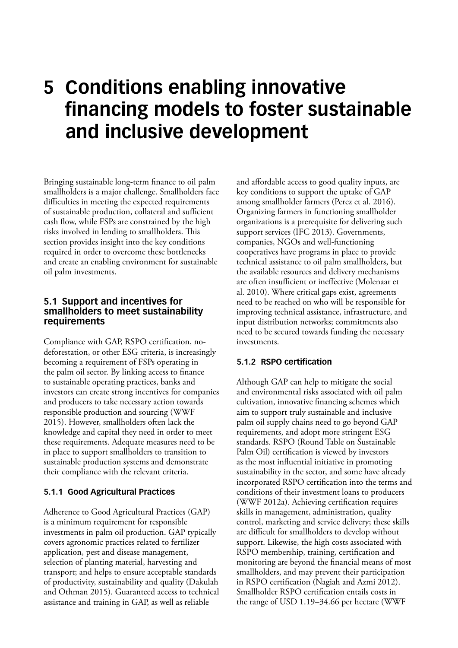### <span id="page-30-0"></span>**5 Conditions enabling innovative financing models to foster sustainable and inclusive development**

Bringing sustainable long-term finance to oil palm smallholders is a major challenge. Smallholders face difficulties in meeting the expected requirements of sustainable production, collateral and sufficient cash flow, while FSPs are constrained by the high risks involved in lending to smallholders. This section provides insight into the key conditions required in order to overcome these bottlenecks and create an enabling environment for sustainable oil palm investments.

#### **5.1 Support and incentives for smallholders to meet sustainability requirements**

Compliance with GAP, RSPO certification, nodeforestation, or other ESG criteria, is increasingly becoming a requirement of FSPs operating in the palm oil sector. By linking access to finance to sustainable operating practices, banks and investors can create strong incentives for companies and producers to take necessary action towards responsible production and sourcing (WWF 2015). However, smallholders often lack the knowledge and capital they need in order to meet these requirements. Adequate measures need to be in place to support smallholders to transition to sustainable production systems and demonstrate their compliance with the relevant criteria.

#### **5.1.1 Good Agricultural Practices**

Adherence to Good Agricultural Practices (GAP) is a minimum requirement for responsible investments in palm oil production. GAP typically covers agronomic practices related to fertilizer application, pest and disease management, selection of planting material, harvesting and transport; and helps to ensure acceptable standards of productivity, sustainability and quality (Dakulah and Othman 2015). Guaranteed access to technical assistance and training in GAP, as well as reliable

and affordable access to good quality inputs, are key conditions to support the uptake of GAP among smallholder farmers (Perez et al. 2016). Organizing farmers in functioning smallholder organizations is a prerequisite for delivering such support services (IFC 2013). Governments, companies, NGOs and well-functioning cooperatives have programs in place to provide technical assistance to oil palm smallholders, but the available resources and delivery mechanisms are often insufficient or ineffective (Molenaar et al. 2010). Where critical gaps exist, agreements need to be reached on who will be responsible for improving technical assistance, infrastructure, and input distribution networks; commitments also need to be secured towards funding the necessary investments.

#### **5.1.2 RSPO certification**

Although GAP can help to mitigate the social and environmental risks associated with oil palm cultivation, innovative financing schemes which aim to support truly sustainable and inclusive palm oil supply chains need to go beyond GAP requirements, and adopt more stringent ESG standards. RSPO (Round Table on Sustainable Palm Oil) certification is viewed by investors as the most influential initiative in promoting sustainability in the sector, and some have already incorporated RSPO certification into the terms and conditions of their investment loans to producers (WWF 2012a). Achieving certification requires skills in management, administration, quality control, marketing and service delivery; these skills are difficult for smallholders to develop without support. Likewise, the high costs associated with RSPO membership, training, certification and monitoring are beyond the financial means of most smallholders, and may prevent their participation in RSPO certification (Nagiah and Azmi 2012). Smallholder RSPO certification entails costs in the range of USD 1.19–34.66 per hectare (WWF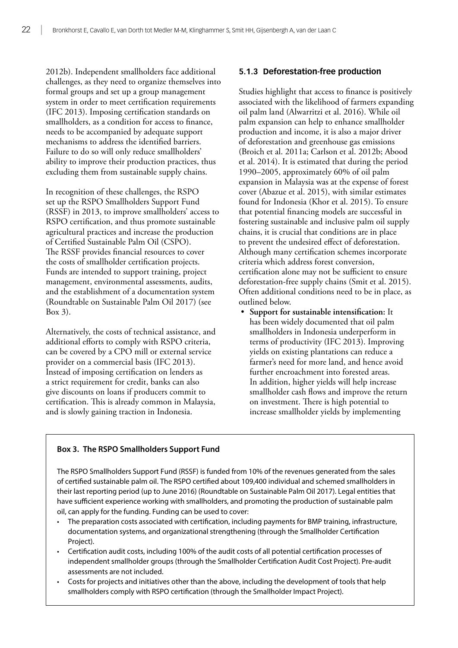2012b). Independent smallholders face additional challenges, as they need to organize themselves into formal groups and set up a group management system in order to meet certification requirements (IFC 2013). Imposing certification standards on smallholders, as a condition for access to finance, needs to be accompanied by adequate support mechanisms to address the identified barriers. Failure to do so will only reduce smallholders' ability to improve their production practices, thus excluding them from sustainable supply chains.

In recognition of these challenges, the RSPO set up the RSPO Smallholders Support Fund (RSSF) in 2013, to improve smallholders' access to RSPO certification, and thus promote sustainable agricultural practices and increase the production of Certified Sustainable Palm Oil (CSPO). The RSSF provides financial resources to cover the costs of smallholder certification projects. Funds are intended to support training, project management, environmental assessments, audits, and the establishment of a documentation system (Roundtable on Sustainable Palm Oil 2017) (see Box 3).

Alternatively, the costs of technical assistance, and additional efforts to comply with RSPO criteria, can be covered by a CPO mill or external service provider on a commercial basis (IFC 2013). Instead of imposing certification on lenders as a strict requirement for credit, banks can also give discounts on loans if producers commit to certification. This is already common in Malaysia, and is slowly gaining traction in Indonesia.

#### **5.1.3 Deforestation-free production**

Studies highlight that access to finance is positively associated with the likelihood of farmers expanding oil palm land (Alwarritzi et al. 2016). While oil palm expansion can help to enhance smallholder production and income, it is also a major driver of deforestation and greenhouse gas emissions (Broich et al. 2011a; Carlson et al. 2012b; Abood et al. 2014). It is estimated that during the period 1990–2005, approximately 60% of oil palm expansion in Malaysia was at the expense of forest cover (Abazue et al. 2015), with similar estimates found for Indonesia (Khor et al. 2015). To ensure that potential financing models are successful in fostering sustainable and inclusive palm oil supply chains, it is crucial that conditions are in place to prevent the undesired effect of deforestation. Although many certification schemes incorporate criteria which address forest conversion, certification alone may not be sufficient to ensure deforestation-free supply chains (Smit et al. 2015). Often additional conditions need to be in place, as outlined below.

• **Support for sustainable intensification:** It has been widely documented that oil palm smallholders in Indonesia underperform in terms of productivity (IFC 2013). Improving yields on existing plantations can reduce a farmer's need for more land, and hence avoid further encroachment into forested areas. In addition, higher yields will help increase smallholder cash flows and improve the return on investment. There is high potential to increase smallholder yields by implementing

#### **Box 3. The RSPO Smallholders Support Fund**

The RSPO Smallholders Support Fund (RSSF) is funded from 10% of the revenues generated from the sales of certified sustainable palm oil. The RSPO certified about 109,400 individual and schemed smallholders in their last reporting period (up to June 2016) (Roundtable on Sustainable Palm Oil 2017). Legal entities that have sufficient experience working with smallholders, and promoting the production of sustainable palm oil, can apply for the funding. Funding can be used to cover:

- The preparation costs associated with certification, including payments for BMP training, infrastructure, documentation systems, and organizational strengthening (through the Smallholder Certification Project).
- Certification audit costs, including 100% of the audit costs of all potential certification processes of independent smallholder groups (through the Smallholder Certification Audit Cost Project). Pre-audit assessments are not included.
- Costs for projects and initiatives other than the above, including the development of tools that help smallholders comply with RSPO certification (through the Smallholder Impact Project).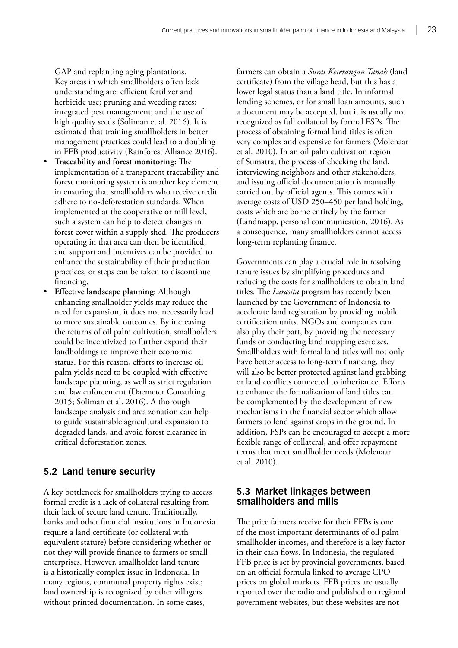<span id="page-32-0"></span>GAP and replanting aging plantations. Key areas in which smallholders often lack understanding are: efficient fertilizer and herbicide use; pruning and weeding rates; integrated pest management; and the use of high quality seeds (Soliman et al. 2016). It is estimated that training smallholders in better management practices could lead to a doubling in FFB productivity (Rainforest Alliance 2016).

- **Traceability and forest monitoring:** The implementation of a transparent traceability and forest monitoring system is another key element in ensuring that smallholders who receive credit adhere to no-deforestation standards. When implemented at the cooperative or mill level, such a system can help to detect changes in forest cover within a supply shed. The producers operating in that area can then be identified, and support and incentives can be provided to enhance the sustainability of their production practices, or steps can be taken to discontinue financing.
- **Effective landscape planning:** Although enhancing smallholder yields may reduce the need for expansion, it does not necessarily lead to more sustainable outcomes. By increasing the returns of oil palm cultivation, smallholders could be incentivized to further expand their landholdings to improve their economic status. For this reason, efforts to increase oil palm yields need to be coupled with effective landscape planning, as well as strict regulation and law enforcement (Daemeter Consulting 2015; Soliman et al. 2016). A thorough landscape analysis and area zonation can help to guide sustainable agricultural expansion to degraded lands, and avoid forest clearance in critical deforestation zones.

#### **5.2 Land tenure security**

A key bottleneck for smallholders trying to access formal credit is a lack of collateral resulting from their lack of secure land tenure. Traditionally, banks and other financial institutions in Indonesia require a land certificate (or collateral with equivalent stature) before considering whether or not they will provide finance to farmers or small enterprises. However, smallholder land tenure is a historically complex issue in Indonesia. In many regions, communal property rights exist; land ownership is recognized by other villagers without printed documentation. In some cases,

farmers can obtain a *Surat Keterangan Tanah* (land certificate) from the village head, but this has a lower legal status than a land title. In informal lending schemes, or for small loan amounts, such a document may be accepted, but it is usually not recognized as full collateral by formal FSPs. The process of obtaining formal land titles is often very complex and expensive for farmers (Molenaar et al. 2010). In an oil palm cultivation region of Sumatra, the process of checking the land, interviewing neighbors and other stakeholders, and issuing official documentation is manually carried out by official agents. This comes with average costs of USD 250–450 per land holding, costs which are borne entirely by the farmer (Landmapp, personal communication, 2016). As a consequence, many smallholders cannot access long-term replanting finance.

Governments can play a crucial role in resolving tenure issues by simplifying procedures and reducing the costs for smallholders to obtain land titles. The *Larasita* program has recently been launched by the Government of Indonesia to accelerate land registration by providing mobile certification units. NGOs and companies can also play their part, by providing the necessary funds or conducting land mapping exercises. Smallholders with formal land titles will not only have better access to long-term financing, they will also be better protected against land grabbing or land conflicts connected to inheritance. Efforts to enhance the formalization of land titles can be complemented by the development of new mechanisms in the financial sector which allow farmers to lend against crops in the ground. In addition, FSPs can be encouraged to accept a more flexible range of collateral, and offer repayment terms that meet smallholder needs (Molenaar et al. 2010).

#### **5.3 Market linkages between smallholders and mills**

The price farmers receive for their FFBs is one of the most important determinants of oil palm smallholder incomes, and therefore is a key factor in their cash flows. In Indonesia, the regulated FFB price is set by provincial governments, based on an official formula linked to average CPO prices on global markets. FFB prices are usually reported over the radio and published on regional government websites, but these websites are not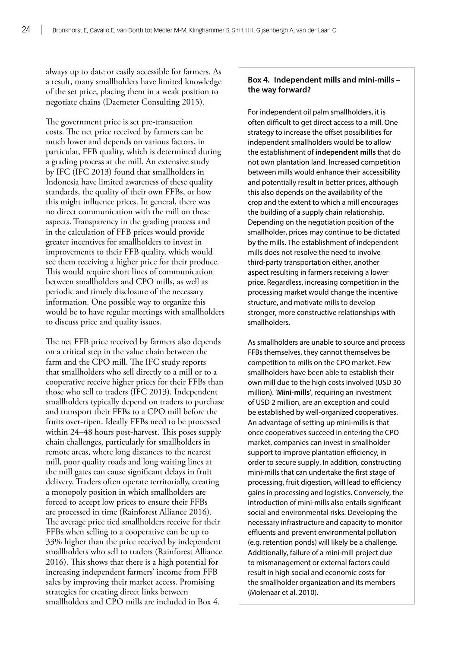always up to date or easily accessible for farmers. As a result, many smallholders have limited knowledge of the set price, placing them in a weak position to negotiate chains (Daemeter Consulting 2015).

The government price is set pre-transaction costs. The net price received by farmers can be much lower and depends on various factors, in particular, FFB quality, which is determined during a grading process at the mill. An extensive study by IFC (IFC 2013) found that smallholders in Indonesia have limited awareness of these quality standards, the quality of their own FFBs, or how this might influence prices. In general, there was no direct communication with the mill on these aspects. Transparency in the grading process and in the calculation of FFB prices would provide greater incentives for smallholders to invest in improvements to their FFB quality, which would see them receiving a higher price for their produce. This would require short lines of communication between smallholders and CPO mills, as well as periodic and timely disclosure of the necessary information. One possible way to organize this would be to have regular meetings with smallholders to discuss price and quality issues.

The net FFB price received by farmers also depends on a critical step in the value chain between the farm and the CPO mill. The IFC study reports that smallholders who sell directly to a mill or to a cooperative receive higher prices for their FFBs than those who sell to traders (IFC 2013). Independent smallholders typically depend on traders to purchase and transport their FFBs to a CPO mill before the fruits over-ripen. Ideally FFBs need to be processed within 24–48 hours post-harvest. This poses supply chain challenges, particularly for smallholders in remote areas, where long distances to the nearest mill, poor quality roads and long waiting lines at the mill gates can cause significant delays in fruit delivery. Traders often operate territorially, creating a monopoly position in which smallholders are forced to accept low prices to ensure their FFBs are processed in time (Rainforest Alliance 2016). The average price tied smallholders receive for their FFBs when selling to a cooperative can be up to 33% higher than the price received by independent smallholders who sell to traders (Rainforest Alliance 2016). This shows that there is a high potential for increasing independent farmers' income from FFB sales by improving their market access. Promising strategies for creating direct links between smallholders and CPO mills are included in Box 4.

#### **Box 4. Independent mills and mini-mills – the way forward?**

For independent oil palm smallholders, it is often difficult to get direct access to a mill. One strategy to increase the offset possibilities for independent smallholders would be to allow the establishment of **independent mills** that do not own plantation land. Increased competition between mills would enhance their accessibility and potentially result in better prices, although this also depends on the availability of the crop and the extent to which a mill encourages the building of a supply chain relationship. Depending on the negotiation position of the smallholder, prices may continue to be dictated by the mills. The establishment of independent mills does not resolve the need to involve third-party transportation either, another aspect resulting in farmers receiving a lower price. Regardless, increasing competition in the processing market would change the incentive structure, and motivate mills to develop stronger, more constructive relationships with smallholders.

As smallholders are unable to source and process FFBs themselves, they cannot themselves be competition to mills on the CPO market. Few smallholders have been able to establish their own mill due to the high costs involved (USD 30 million). '**Mini-mills**', requiring an investment of USD 2 million, are an exception and could be established by well-organized cooperatives. An advantage of setting up mini-mills is that once cooperatives succeed in entering the CPO market, companies can invest in smallholder support to improve plantation efficiency, in order to secure supply. In addition, constructing mini-mills that can undertake the first stage of processing, fruit digestion, will lead to efficiency gains in processing and logistics. Conversely, the introduction of mini-mills also entails significant social and environmental risks. Developing the necessary infrastructure and capacity to monitor effluents and prevent environmental pollution (e.g. retention ponds) will likely be a challenge. Additionally, failure of a mini-mill project due to mismanagement or external factors could result in high social and economic costs for the smallholder organization and its members (Molenaar et al. 2010).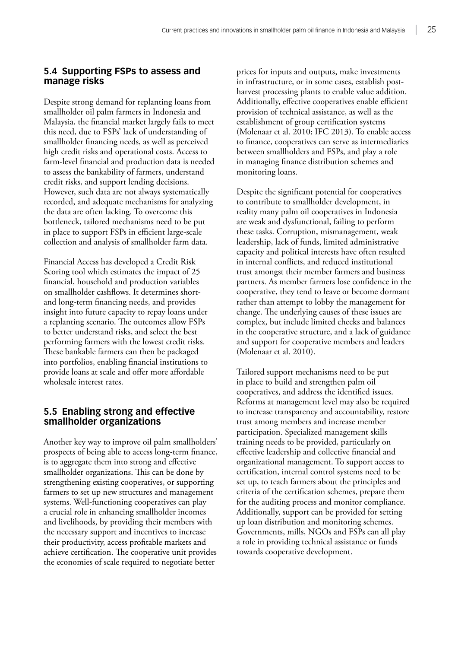#### <span id="page-34-0"></span>**5.4 Supporting FSPs to assess and manage risks**

Despite strong demand for replanting loans from smallholder oil palm farmers in Indonesia and Malaysia, the financial market largely fails to meet this need, due to FSPs' lack of understanding of smallholder financing needs, as well as perceived high credit risks and operational costs. Access to farm-level financial and production data is needed to assess the bankability of farmers, understand credit risks, and support lending decisions. However, such data are not always systematically recorded, and adequate mechanisms for analyzing the data are often lacking. To overcome this bottleneck, tailored mechanisms need to be put in place to support FSPs in efficient large-scale collection and analysis of smallholder farm data.

Financial Access has developed a Credit Risk Scoring tool which estimates the impact of 25 financial, household and production variables on smallholder cashflows. It determines shortand long-term financing needs, and provides insight into future capacity to repay loans under a replanting scenario. The outcomes allow FSPs to better understand risks, and select the best performing farmers with the lowest credit risks. These bankable farmers can then be packaged into portfolios, enabling financial institutions to provide loans at scale and offer more affordable wholesale interest rates.

#### **5.5 Enabling strong and effective smallholder organizations**

Another key way to improve oil palm smallholders' prospects of being able to access long-term finance, is to aggregate them into strong and effective smallholder organizations. This can be done by strengthening existing cooperatives, or supporting farmers to set up new structures and management systems. Well-functioning cooperatives can play a crucial role in enhancing smallholder incomes and livelihoods, by providing their members with the necessary support and incentives to increase their productivity, access profitable markets and achieve certification. The cooperative unit provides the economies of scale required to negotiate better

prices for inputs and outputs, make investments in infrastructure, or in some cases, establish postharvest processing plants to enable value addition. Additionally, effective cooperatives enable efficient provision of technical assistance, as well as the establishment of group certification systems (Molenaar et al. 2010; IFC 2013). To enable access to finance, cooperatives can serve as intermediaries between smallholders and FSPs, and play a role in managing finance distribution schemes and monitoring loans.

Despite the significant potential for cooperatives to contribute to smallholder development, in reality many palm oil cooperatives in Indonesia are weak and dysfunctional, failing to perform these tasks. Corruption, mismanagement, weak leadership, lack of funds, limited administrative capacity and political interests have often resulted in internal conflicts, and reduced institutional trust amongst their member farmers and business partners. As member farmers lose confidence in the cooperative, they tend to leave or become dormant rather than attempt to lobby the management for change. The underlying causes of these issues are complex, but include limited checks and balances in the cooperative structure, and a lack of guidance and support for cooperative members and leaders (Molenaar et al. 2010).

Tailored support mechanisms need to be put in place to build and strengthen palm oil cooperatives, and address the identified issues. Reforms at management level may also be required to increase transparency and accountability, restore trust among members and increase member participation. Specialized management skills training needs to be provided, particularly on effective leadership and collective financial and organizational management. To support access to certification, internal control systems need to be set up, to teach farmers about the principles and criteria of the certification schemes, prepare them for the auditing process and monitor compliance. Additionally, support can be provided for setting up loan distribution and monitoring schemes. Governments, mills, NGOs and FSPs can all play a role in providing technical assistance or funds towards cooperative development.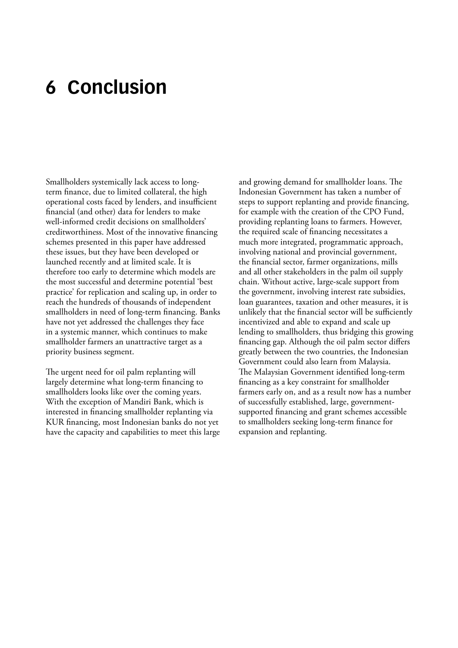### <span id="page-35-0"></span>**6 Conclusion**

Smallholders systemically lack access to longterm finance, due to limited collateral, the high operational costs faced by lenders, and insufficient financial (and other) data for lenders to make well-informed credit decisions on smallholders' creditworthiness. Most of the innovative financing schemes presented in this paper have addressed these issues, but they have been developed or launched recently and at limited scale. It is therefore too early to determine which models are the most successful and determine potential 'best practice' for replication and scaling up, in order to reach the hundreds of thousands of independent smallholders in need of long-term financing. Banks have not yet addressed the challenges they face in a systemic manner, which continues to make smallholder farmers an unattractive target as a priority business segment.

The urgent need for oil palm replanting will largely determine what long-term financing to smallholders looks like over the coming years. With the exception of Mandiri Bank, which is interested in financing smallholder replanting via KUR financing, most Indonesian banks do not yet have the capacity and capabilities to meet this large and growing demand for smallholder loans. The Indonesian Government has taken a number of steps to support replanting and provide financing, for example with the creation of the CPO Fund, providing replanting loans to farmers. However, the required scale of financing necessitates a much more integrated, programmatic approach, involving national and provincial government, the financial sector, farmer organizations, mills and all other stakeholders in the palm oil supply chain. Without active, large-scale support from the government, involving interest rate subsidies, loan guarantees, taxation and other measures, it is unlikely that the financial sector will be sufficiently incentivized and able to expand and scale up lending to smallholders, thus bridging this growing financing gap. Although the oil palm sector differs greatly between the two countries, the Indonesian Government could also learn from Malaysia. The Malaysian Government identified long-term financing as a key constraint for smallholder farmers early on, and as a result now has a number of successfully established, large, governmentsupported financing and grant schemes accessible to smallholders seeking long-term finance for expansion and replanting.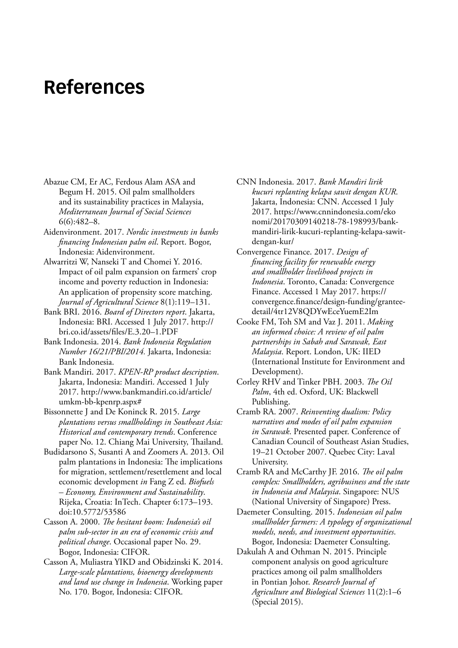### <span id="page-36-0"></span>**References**

- Abazue CM, Er AC, Ferdous Alam ASA and Begum H. 2015. Oil palm smallholders and its sustainability practices in Malaysia, *Mediterranean Journal of Social Sciences* 6(6):482–8.
- Aidenvironment. 2017. *Nordic investments in banks financing Indonesian palm oil*. Report. Bogor, Indonesia: Aidenvironment.
- Alwarritzi W, Nanseki T and Chomei Y. 2016. Impact of oil palm expansion on farmers' crop income and poverty reduction in Indonesia: An application of propensity score matching. *Journal of Agricultural Science* 8(1):119–131.
- Bank BRI. 2016. *Board of Directors report*. Jakarta, Indonesia: BRI. Accessed 1 July 2017. [http://](http://bri.co.id/assets/files/E.3.20-1.PDF) [bri.co.id/assets/files/E.3.20–1.PDF](http://bri.co.id/assets/files/E.3.20-1.PDF)
- Bank Indonesia. 2014. *Bank Indonesia Regulation Number 16/21/PBI/2014.* Jakarta, Indonesia: Bank Indonesia.
- Bank Mandiri. 2017. *KPEN-RP product description*. Jakarta, Indonesia: Mandiri. Accessed 1 July 2017. [http://www.bankmandiri.co.id/article/](http://www.bankmandiri.co.id/article/umkm-bb-kpenrp.aspx) [umkm-bb-kpenrp.aspx#](http://www.bankmandiri.co.id/article/umkm-bb-kpenrp.aspx)
- Bissonnette J and De Koninck R. 2015. *Large plantations versus smallholdings in Southeast Asia: Historical and contemporary trends*. Conference paper No. 12. Chiang Mai University, Thailand.
- Budidarsono S, Susanti A and Zoomers A. 2013. Oil palm plantations in Indonesia: The implications for migration, settlement/resettlement and local economic development *in* Fang Z ed. *Biofuels – Economy, Environment and Sustainability*. Rijeka, Croatia: InTech. Chapter 6:173–193. doi:10.5772/53586
- Casson A. 2000. *The hesitant boom: Indonesia's oil palm sub-sector in an era of economic crisis and political change*. Occasional paper No. 29. Bogor, Indonesia: CIFOR.
- Casson A, Muliastra YIKD and Obidzinski K. 2014. *Large-scale plantations, bioenergy developments and land use change in Indonesia*. Working paper No. 170. Bogor, Indonesia: CIFOR.
- CNN Indonesia. 2017. *Bank Mandiri lirik kucuri replanting kelapa sawit dengan KUR*. Jakarta, Indonesia: CNN. Accessed 1 July 2017. https://www.cnnindonesia.com/eko nomi/20170309140218-78-198993/bankmandiri-lirik-kucuri-replanting-kelapa-sawitdengan-kur/
- Convergence Finance. 2017. *Design of financing facility for renewable energy and smallholder livelihood projects in Indonesia*. Toronto, Canada: Convergence Finance. Accessed 1 May 2017. [https://](https://convergence.finance/design-funding/grantee-detail/4tr12V8QDYwEceYuemE2Im) [convergence.finance/design-funding/grantee](https://convergence.finance/design-funding/grantee-detail/4tr12V8QDYwEceYuemE2Im)[detail/4tr12V8QDYwEceYuemE2Im](https://convergence.finance/design-funding/grantee-detail/4tr12V8QDYwEceYuemE2Im)
- Cooke FM, Toh SM and Vaz J. 2011. *Making an informed choice: A review of oil palm partnerships in Sabah and Sarawak, East Malaysia*. Report. London, UK: IIED (International Institute for Environment and Development).
- Corley RHV and Tinker PBH. 2003. *The Oil Palm*, 4th ed. Oxford, UK: Blackwell Publishing.
- Cramb RA. 2007. *Reinventing dualism: Policy narratives and modes of oil palm expansion in Sarawak*. Presented paper. Conference of Canadian Council of Southeast Asian Studies, 19–21 October 2007. Quebec City: Laval University.
- Cramb RA and McCarthy JF. 2016. *The oil palm complex: Smallholders, agribusiness and the state in Indonesia and Malaysia*. Singapore: NUS (National University of Singapore) Press.
- Daemeter Consulting. 2015. *Indonesian oil palm smallholder farmers: A typology of organizational models, needs, and investment opportunities*. Bogor, Indonesia: Daemeter Consulting.
- Dakulah A and Othman N. 2015. Principle component analysis on good agriculture practices among oil palm smallholders in Pontian Johor. *Research Journal of Agriculture and Biological Sciences* 11(2):1–6 (Special 2015).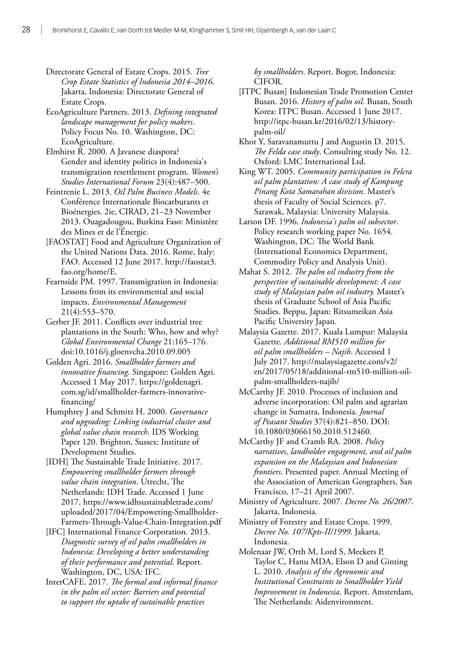Directorate General of Estate Crops. 2015. *Tree Crop Estate Statistics of Indonesia 2014–2016*. Jakarta, Indonesia: Directorate General of Estate Crops.

EcoAgriculture Partners. 2013. *Defining integrated landscape management for policy makers*. Policy Focus No. 10. Washington, DC: EcoAgriculture.

Elmhirst R. 2000. A Javanese diaspora? Gender and identity politics in Indonesia's transmigration resettlement program. *Women's Studies International Forum* 23(4):487–500.

Feintrenie L. 2013. *Oil Palm Business Models*. 4e Conférence Internationale Biocarburants et Bioénergies. 2ie, CIRAD, 21–23 November 2013. Ouagadougou, Burkina Faso: Ministère des Mines et de l'Énergie.

[FAOSTAT] Food and Agriculture Organization of the United Nations Data. 2016. Rome, Italy: FAO. Accessed 12 June 2017. [http://faostat3.](http://faostat3.fao.org/home/E) [fao.org/home/E.](http://faostat3.fao.org/home/E)

Fearnside PM. 1997. Transmigration in Indonesia: Lessons from its environmental and social impacts. *Environmental Management* 21(4):553–570.

Gerber JF. 2011. Conflicts over industrial tree plantations in the South: Who, how and why? *Global Environmental Change* 21:165–176. doi:10.1016/j.gloenvcha.2010.09.005

Golden Agri. 2016. *Smallholder farmers and innovative financing*. Singapore: Golden Agri. Accessed 1 May 2017. [https://goldenagri.](https://goldenagri.com.sg/id/smallholder-farmers-innovative-financing/) [com.sg/id/smallholder-farmers-innovative](https://goldenagri.com.sg/id/smallholder-farmers-innovative-financing/)[financing/](https://goldenagri.com.sg/id/smallholder-farmers-innovative-financing/)

Humphrey J and Schmitz H. 2000. *Governance and upgrading: Linking industrial cluster and global value chain research*. IDS Working Paper 120. Brighton, Sussex: Institute of Development Studies.

[IDH] The Sustainable Trade Initiative. 2017. *Empowering smallholder farmers through value chain integration*. Utrecht, The Netherlands: IDH Trade. Accessed 1 June 2017. https://www.idhsustainabletrade.com/ uploaded/2017/04/Empowering-Smallholder-Farmers-Through-Value-Chain-Integration.pdf

[IFC] International Finance Corporation. 2013. *Diagnostic survey of oil palm smallholders in Indonesia: Developing a better understanding of their performance and potential*. Report. Washington, DC, USA: IFC.

InterCAFE. 2017. *The formal and informal finance in the palm oil sector: Barriers and potential to support the uptake of sustainable practices* 

*by smallholders*. Report. Bogor, Indonesia: CIFOR.

[ITPC Busan] Indonesian Trade Promotion Center Busan. 2016. *History of palm oil*. Busan, South Korea: ITPC Busan. Accessed 1 June 2017. http://itpc-busan.kr/2016/02/13/historypalm-oil/

Khor Y, Saravanamuttu J and Augustin D. 2015. *The Felda case study*. Consulting study No. 12. Oxford: LMC International Ltd.

King WT. 2005. *Community participation in Felcra oil palm plantation: A case study of Kampung Pinang Kota Samarahan division*. Master's thesis of Faculty of Social Sciences. p7. Sarawak, Malaysia: University Malaysia.

Larson DF. 1996. *Indonesia's palm oil subsector*. Policy research working paper No. 1654. Washington, DC: The World Bank (International Economics Department, Commodity Policy and Analysis Unit).

Mahat S. 2012. *The palm oil industry from the perspective of sustainable development: A case study of Malaysian palm oil industry.* Master's thesis of Graduate School of Asia Pacific Studies. Beppu, Japan: Ritsumeikan Asia Pacific University Japan.

Malaysia Gazette. 2017. Kuala Lumpur: Malaysia Gazette. *Additional RM510 million for oil palm smallholders – Najib*. Accessed 1 July 2017. http://malaysiagazette.com/v2/ en/2017/05/18/additional-rm510-million-oilpalm-smallholders-najib/

McCarthy JF. 2010. Processes of inclusion and adverse incorporation: Oil palm and agrarian change in Sumatra, Indonesia. *Journal of Peasant Studies* 37(4):821–850. DOI: 10.1080/03066150.2010.512460.

McCarthy JF and Cramb RA. 2008. *Policy narratives, landholder engagement, and oil palm expansion on the Malaysian and Indonesian frontiers*. Presented paper. Annual Meeting of the Association of American Geographers, San Francisco, 17–21 April 2007.

Ministry of Agriculture. 2007. *Decree No. 26/2007*. Jakarta, Indonesia.

Ministry of Forestry and Estate Crops. 1999. *Decree No. 107/Kpts-II/1999*. Jakarta, Indonesia.

Molenaar JW, Orth M, Lord S, Meekers P, Taylor C, Hanu MDA, Elson D and Ginting L. 2010. *Analysis of the Agronomic and Institutional Constraints to Smallholder Yield Improvement in Indonesia*. Report. Amsterdam, The Netherlands: Aidenvironment.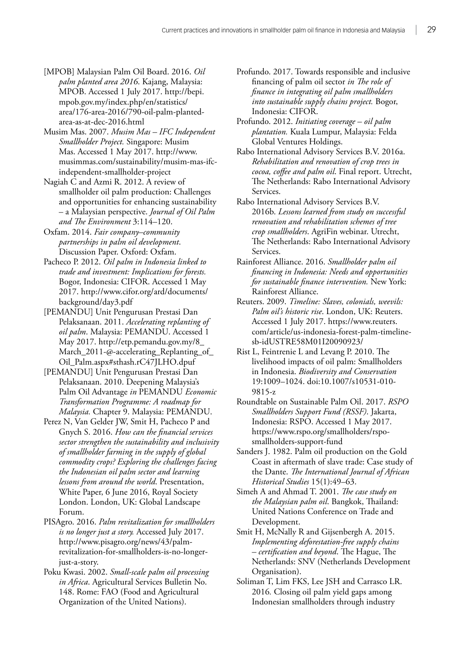- [MPOB] Malaysian Palm Oil Board. 2016. *Oil palm planted area 2016*. Kajang, Malaysia: MPOB. Accessed 1 July 2017. http://bepi. mpob.gov.my/index.php/en/statistics/ area/176-area-2016/790-oil-palm-plantedarea-as-at-dec-2016.html
- Musim Mas. 2007. *Musim Mas IFC Independent Smallholder Project.* Singapore: Musim Mas. Accessed 1 May 2017. [http://www.](http://www.musimmas.com/sustainability/musim-mas-ifc-independent-smallholder-project) [musimmas.com/sustainability/musim-mas-ifc](http://www.musimmas.com/sustainability/musim-mas-ifc-independent-smallholder-project)[independent-smallholder-project](http://www.musimmas.com/sustainability/musim-mas-ifc-independent-smallholder-project)
- Nagiah C and Azmi R. 2012. A review of smallholder oil palm production: Challenges and opportunities for enhancing sustainability – a Malaysian perspective. *Journal of Oil Palm and The Environment* 3:114–120.
- Oxfam. 2014. *Fair company–community partnerships in palm oil development*. Discussion Paper. Oxford: Oxfam.
- Pacheco P. 2012. *Oil palm in Indonesia linked to trade and investment: Implications for forests.* Bogor, Indonesia: CIFOR. Accessed 1 May 2017. [http://www.cifor.org/ard/documents/](http://www.cifor.org/ard/documents/background/day3.pdf) [background/day3.pdf](http://www.cifor.org/ard/documents/background/day3.pdf)
- [PEMANDU] Unit Pengurusan Prestasi Dan Pelaksanaan. 2011. *Accelerating replanting of oil palm*. Malaysia: PEMANDU. Accessed 1 May 2017. http://etp.pemandu.gov.my/8\_ March\_2011-@-accelerating\_Replanting\_of\_ Oil\_Palm.aspx#sthash.rC47JLHO.dpuf
- [PEMANDU] Unit Pengurusan Prestasi Dan Pelaksanaan. 2010. Deepening Malaysia's Palm Oil Advantage *in* PEMANDU *Economic Transformation Programme: A roadmap for Malaysia.* Chapter 9. Malaysia: PEMANDU.
- Perez N, Van Gelder JW, Smit H, Pacheco P and Gnych S. 2016. *How can the financial services sector strengthen the sustainability and inclusivity of smallholder farming in the supply of global commodity crops? Exploring the challenges facing the Indonesian oil palm sector and learning lessons from around the world*. Presentation, White Paper, 6 June 2016, Royal Society London. London, UK: Global Landscape Forum.
- PISAgro. 2016. *Palm revitalization for smallholders is no longer just a story.* Accessed July 2017. http://www.pisagro.org/news/43/palmrevitalization-for-smallholders-is-no-longerjust-a-story.
- Poku Kwasi. 2002. *Small-scale palm oil processing in Africa*. Agricultural Services Bulletin No. 148. Rome: FAO (Food and Agricultural Organization of the United Nations).
- Profundo. 2017. Towards responsible and inclusive financing of palm oil sector *in The role of finance in integrating oil palm smallholders into sustainable supply chains project.* Bogor, Indonesia: CIFOR.
- Profundo. 2012. *Initiating coverage oil palm plantation.* Kuala Lumpur, Malaysia: Felda Global Ventures Holdings.
- [Rabo International Advisory](https://www.agrifinfacility.org/event/webinar-financing-renovation-and-rehabilitation-tree-crops-lessons-rabo-international-advisory) Services B.V. 2016a. *Rehabilitation and renovation of crop trees in cocoa, coffee and palm oil*. Final report. Utrecht, The Netherlands: Rabo International Advisory Services.
- [Rabo International Advisory](https://www.agrifinfacility.org/event/webinar-financing-renovation-and-rehabilitation-tree-crops-lessons-rabo-international-advisory) Services B.V. 2016b. *Lessons learned from study on successful renovation and rehabilitation schemes of tree crop smallholders*. AgriFin webinar. Utrecht, The Netherlands: Rabo International Advisory Services.
- Rainforest Alliance. 2016. *Smallholder palm oil financing in Indonesia: Needs and opportunities for sustainable finance intervention.* New York: Rainforest Alliance.
- Reuters. 2009. *Timeline: Slaves, colonials, weevils: Palm oil's historic rise*. London, UK: Reuters. Accessed 1 July 2017. [https://www.reuters.](https://www.reuters.com/article/us-indonesia-forest-palm-timeline-sb-idUSTRE58M01I20090923) [com/article/us-indonesia-forest-palm-timeline](https://www.reuters.com/article/us-indonesia-forest-palm-timeline-sb-idUSTRE58M01I20090923)[sb-idUSTRE58M01I20090923/](https://www.reuters.com/article/us-indonesia-forest-palm-timeline-sb-idUSTRE58M01I20090923)
- Rist L, Feintrenie L and Levang P. 2010. The livelihood impacts of oil palm: Smallholders in Indonesia. *Biodiversity and Conservation* 19:1009–1024. doi:10.1007/s10531-010- 9815-z
- Roundtable on Sustainable Palm Oil. 2017. *RSPO Smallholders Support Fund (RSSF)*. Jakarta, Indonesia: RSPO. Accessed 1 May 2017. https://www.rspo.org/smallholders/rsposmallholders-support-fund
- Sanders J. 1982. Palm oil production on the Gold Coast in aftermath of slave trade: Case study of the Dante. *The International Journal of African Historical Studies* 15(1):49–63.
- Simeh A and Ahmad T. 2001. *The case study on the Malaysian palm oil*. Bangkok, Thailand: United Nations Conference on Trade and Development.
- Smit H, McNally R and Gijsenbergh A. 2015. *Implementing deforestation-free supply chains – certification and beyond*. The Hague, The Netherlands: SNV (Netherlands Development Organisation).
- Soliman T, Lim FKS, Lee JSH and Carrasco LR. 2016*.* Closing oil palm yield gaps among Indonesian smallholders through industry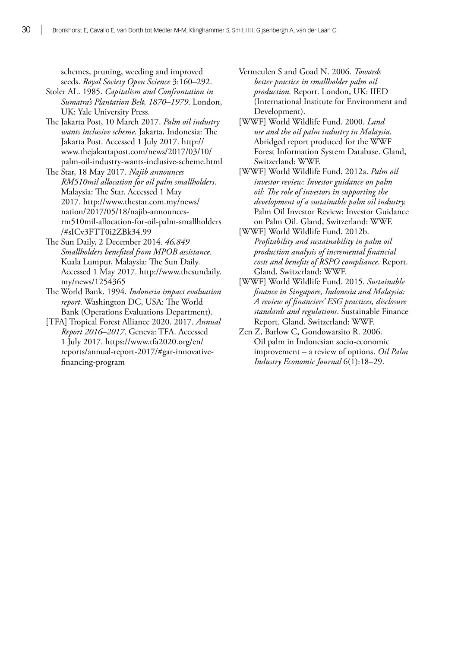schemes, pruning, weeding and improved seeds. *Royal Society Open Science* 3:160–292.

- Stoler AL. 1985. *Capitalism and Confrontation in Sumatra's Plantation Belt, 1870–1979*. London, UK: Yale University Press.
- The Jakarta Post, 10 March 2017. *Palm oil industry wants inclusive scheme*. Jakarta, Indonesia: The Jakarta Post. Accessed 1 July 2017. http:// www.thejakartapost.com/news/2017/03/10/ palm-oil-industry-wants-inclusive-scheme.html
- The Star, 18 May 2017. *Najib announces RM510mil allocation for oil palm smallholders*. Malaysia: The Star. Accessed 1 May 2017. [http://www.thestar.com.my/news/](http://www.thestar.com.my/news/nation/2017/05/18/najib-announces-rm510mil-allocation-for-oil-palm-smallholders/#sICv3FTT0i2ZBk34.99) [nation/2017/05/18/najib-announces](http://www.thestar.com.my/news/nation/2017/05/18/najib-announces-rm510mil-allocation-for-oil-palm-smallholders/#sICv3FTT0i2ZBk34.99)[rm510mil-allocation-for-oil-palm-smallholders](http://www.thestar.com.my/news/nation/2017/05/18/najib-announces-rm510mil-allocation-for-oil-palm-smallholders/#sICv3FTT0i2ZBk34.99) [/#sICv3FTT0i2ZBk34.99](http://www.thestar.com.my/news/nation/2017/05/18/najib-announces-rm510mil-allocation-for-oil-palm-smallholders/#sICv3FTT0i2ZBk34.99)
- The Sun Daily, 2 December 2014. *46,849 Smallholders benefited from MPOB assistance*. Kuala Lumpur, Malaysia: The Sun Daily. Accessed 1 May 2017. [http://www.thesundaily.](numbering.xml) [my/news/1254365](numbering.xml)
- The World Bank. 1994. *Indonesia impact evaluation report*. Washington DC, USA: The World Bank (Operations Evaluations Department).
- [TFA] Tropical Forest Alliance 2020. 2017. *Annual Report 2016–2017*. Geneva: TFA. Accessed 1 July 2017. https://www.tfa2020.org/en/ reports/annual-report-2017/#gar-innovativefinancing-program
- Vermeulen S and Goad N. 2006. *Towards better practice in smallholder palm oil production.* Report. London, UK: IIED (International Institute for Environment and Development).
- [WWF] World Wildlife Fund. 2000. *Land use and the oil palm industry in Malaysia*. Abridged report produced for the WWF Forest Information System Database. Gland, Switzerland: WWF.
- [WWF] World Wildlife Fund. 2012a. *Palm oil investor review: Investor guidance on palm oil: The role of investors in supporting the development of a sustainable palm oil industry.* Palm Oil Investor Review: Investor Guidance on Palm Oil. Gland, Switzerland: WWF.
- [WWF] World Wildlife Fund. 2012b. *Profitability and sustainability in palm oil production analysis of incremental financial costs and benefits of RSPO compliance*. Report. Gland, Switzerland: WWF.
- [WWF] World Wildlife Fund. 2015. *Sustainable finance in Singapore, Indonesia and Malaysia: A review of financiers' ESG practices, disclosure standards and regulations*. Sustainable Finance Report. Gland, Switzerland: WWF.
- Zen Z, Barlow C, Gondowarsito R. 2006. Oil palm in Indonesian socio-economic improvement – a review of options. *Oil Palm Industry Economic Journal* 6(1):18–29.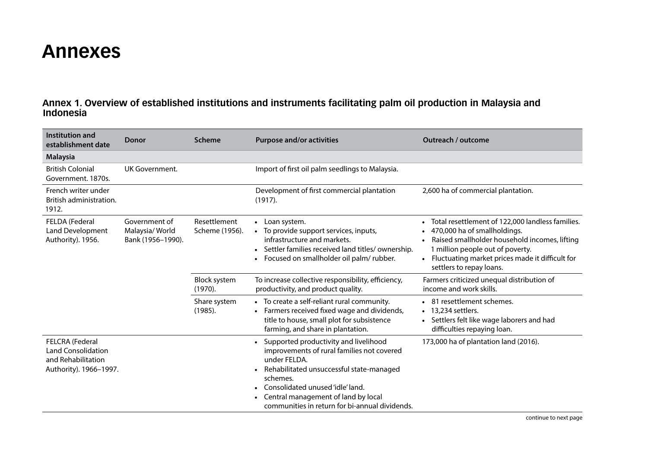### <span id="page-40-0"></span>**Annexes**

#### **Annex 1. Overview of established institutions and instruments facilitating palm oil production in Malaysia and Indonesia**

| Institution and<br>establishment date                                                        | Donor                                                | <b>Scheme</b>                  | <b>Purpose and/or activities</b>                                                                                                                                                                                                                                                                      | Outreach / outcome                                                                                                                                                                                                                                                                          |
|----------------------------------------------------------------------------------------------|------------------------------------------------------|--------------------------------|-------------------------------------------------------------------------------------------------------------------------------------------------------------------------------------------------------------------------------------------------------------------------------------------------------|---------------------------------------------------------------------------------------------------------------------------------------------------------------------------------------------------------------------------------------------------------------------------------------------|
| <b>Malaysia</b>                                                                              |                                                      |                                |                                                                                                                                                                                                                                                                                                       |                                                                                                                                                                                                                                                                                             |
| <b>British Colonial</b><br>Government, 1870s.                                                | UK Government.                                       |                                | Import of first oil palm seedlings to Malaysia.                                                                                                                                                                                                                                                       |                                                                                                                                                                                                                                                                                             |
| French writer under<br>British administration.<br>1912.                                      |                                                      |                                | Development of first commercial plantation<br>(1917).                                                                                                                                                                                                                                                 | 2,600 ha of commercial plantation.                                                                                                                                                                                                                                                          |
| FELDA (Federal<br>Land Development<br>Authority). 1956.                                      | Government of<br>Malaysia/World<br>Bank (1956-1990). | Resettlement<br>Scheme (1956). | • Loan system.<br>To provide support services, inputs,<br>infrastructure and markets.<br>Settler families received land titles/ownership.<br>Focused on smallholder oil palm/ rubber.                                                                                                                 | Total resettlement of 122,000 landless families.<br>$\bullet$<br>470,000 ha of smallholdings.<br>$\bullet$<br>Raised smallholder household incomes, lifting<br>1 million people out of poverty.<br>Fluctuating market prices made it difficult for<br>$\bullet$<br>settlers to repay loans. |
|                                                                                              |                                                      | <b>Block system</b><br>(1970). | To increase collective responsibility, efficiency,<br>productivity, and product quality.                                                                                                                                                                                                              | Farmers criticized unequal distribution of<br>income and work skills.                                                                                                                                                                                                                       |
|                                                                                              |                                                      | Share system<br>(1985).        | • To create a self-reliant rural community.<br>Farmers received fixed wage and dividends,<br>title to house, small plot for subsistence<br>farming, and share in plantation.                                                                                                                          | • 81 resettlement schemes.<br>• 13,234 settlers.<br>Settlers felt like wage laborers and had<br>difficulties repaying loan.                                                                                                                                                                 |
| FELCRA (Federal<br><b>Land Consolidation</b><br>and Rehabilitation<br>Authority). 1966-1997. |                                                      |                                | Supported productivity and livelihood<br>$\bullet$<br>improvements of rural families not covered<br>under FELDA.<br>Rehabilitated unsuccessful state-managed<br>schemes.<br>Consolidated unused 'idle' land.<br>Central management of land by local<br>communities in return for bi-annual dividends. | 173,000 ha of plantation land (2016).                                                                                                                                                                                                                                                       |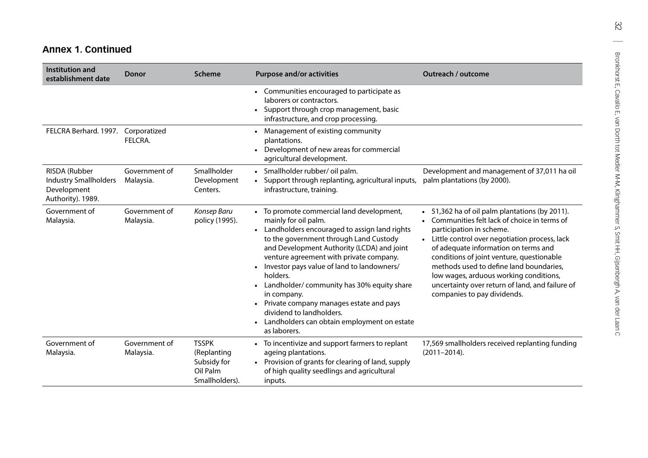### **Annex 1. Continued**

| Institution and<br>establishment date                                             | <b>Donor</b>               | <b>Scheme</b>                                                            | <b>Purpose and/or activities</b>                                                                                                                                                                                                                                                                                                                                                                                                                                                                                       | Outreach / outcome                                                                                                                                                                                                                                                                                                                                                                                                                       |
|-----------------------------------------------------------------------------------|----------------------------|--------------------------------------------------------------------------|------------------------------------------------------------------------------------------------------------------------------------------------------------------------------------------------------------------------------------------------------------------------------------------------------------------------------------------------------------------------------------------------------------------------------------------------------------------------------------------------------------------------|------------------------------------------------------------------------------------------------------------------------------------------------------------------------------------------------------------------------------------------------------------------------------------------------------------------------------------------------------------------------------------------------------------------------------------------|
|                                                                                   |                            |                                                                          | • Communities encouraged to participate as<br>laborers or contractors.<br>• Support through crop management, basic<br>infrastructure, and crop processing.                                                                                                                                                                                                                                                                                                                                                             |                                                                                                                                                                                                                                                                                                                                                                                                                                          |
| FELCRA Berhard. 1997.                                                             | Corporatized<br>FELCRA.    |                                                                          | • Management of existing community<br>plantations.<br>Development of new areas for commercial<br>agricultural development.                                                                                                                                                                                                                                                                                                                                                                                             |                                                                                                                                                                                                                                                                                                                                                                                                                                          |
| RISDA (Rubber<br><b>Industry Smallholders</b><br>Development<br>Authority). 1989. | Government of<br>Malaysia. | Smallholder<br>Development<br>Centers.                                   | · Smallholder rubber/ oil palm.<br>• Support through replanting, agricultural inputs,<br>infrastructure, training.                                                                                                                                                                                                                                                                                                                                                                                                     | Development and management of 37,011 ha oil<br>palm plantations (by 2000).                                                                                                                                                                                                                                                                                                                                                               |
| Government of<br>Malaysia.                                                        | Government of<br>Malaysia. | Konsep Baru<br>policy (1995).                                            | • To promote commercial land development,<br>mainly for oil palm.<br>• Landholders encouraged to assign land rights<br>to the government through Land Custody<br>and Development Authority (LCDA) and joint<br>venture agreement with private company.<br>Investor pays value of land to landowners/<br>holders.<br>Landholder/community has 30% equity share<br>in company.<br>• Private company manages estate and pays<br>dividend to landholders.<br>• Landholders can obtain employment on estate<br>as laborers. | • 51,362 ha of oil palm plantations (by 2011).<br>Communities felt lack of choice in terms of<br>participation in scheme.<br>• Little control over negotiation process, lack<br>of adequate information on terms and<br>conditions of joint venture, questionable<br>methods used to define land boundaries,<br>low wages, arduous working conditions,<br>uncertainty over return of land, and failure of<br>companies to pay dividends. |
| Government of<br>Malaysia.                                                        | Government of<br>Malaysia. | <b>TSSPK</b><br>(Replanting<br>Subsidy for<br>Oil Palm<br>Smallholders). | • To incentivize and support farmers to replant<br>ageing plantations.<br>• Provision of grants for clearing of land, supply<br>of high quality seedlings and agricultural<br>inputs.                                                                                                                                                                                                                                                                                                                                  | 17,569 smallholders received replanting funding<br>$(2011 - 2014).$                                                                                                                                                                                                                                                                                                                                                                      |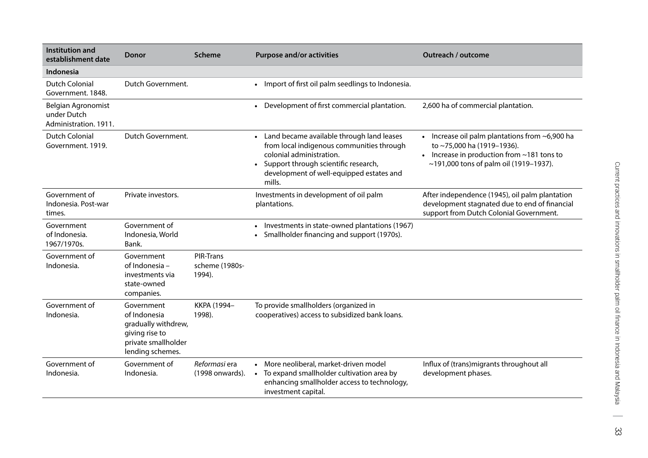| Institution and<br>establishment date                      | <b>Donor</b>                                                                                                   | <b>Scheme</b>                         | <b>Purpose and/or activities</b>                                                                                                                                                                                 | Outreach / outcome                                                                                                                                                               |
|------------------------------------------------------------|----------------------------------------------------------------------------------------------------------------|---------------------------------------|------------------------------------------------------------------------------------------------------------------------------------------------------------------------------------------------------------------|----------------------------------------------------------------------------------------------------------------------------------------------------------------------------------|
| Indonesia                                                  |                                                                                                                |                                       |                                                                                                                                                                                                                  |                                                                                                                                                                                  |
| Dutch Colonial<br>Government, 1848.                        | Dutch Government.                                                                                              |                                       | Import of first oil palm seedlings to Indonesia.                                                                                                                                                                 |                                                                                                                                                                                  |
| Belgian Agronomist<br>under Dutch<br>Administration. 1911. |                                                                                                                |                                       | Development of first commercial plantation.                                                                                                                                                                      | 2,600 ha of commercial plantation.                                                                                                                                               |
| <b>Dutch Colonial</b><br>Government. 1919.                 | Dutch Government.                                                                                              |                                       | Land became available through land leases<br>from local indigenous communities through<br>colonial administration.<br>Support through scientific research,<br>development of well-equipped estates and<br>mills. | • Increase oil palm plantations from $\sim$ 6,900 ha<br>to ~75,000 ha (1919-1936).<br>• Increase in production from $\sim$ 181 tons to<br>~191,000 tons of palm oil (1919-1937). |
| Government of<br>Indonesia. Post-war<br>times.             | Private investors.                                                                                             |                                       | Investments in development of oil palm<br>plantations.                                                                                                                                                           | After independence (1945), oil palm plantation<br>development stagnated due to end of financial<br>support from Dutch Colonial Government.                                       |
| Government<br>of Indonesia.<br>1967/1970s.                 | Government of<br>Indonesia, World<br>Bank.                                                                     |                                       | Investments in state-owned plantations (1967)<br>$\bullet$<br>Smallholder financing and support (1970s).                                                                                                         |                                                                                                                                                                                  |
| Government of<br>Indonesia.                                | Government<br>of Indonesia -<br>investments via<br>state-owned<br>companies.                                   | PIR-Trans<br>scheme (1980s-<br>1994). |                                                                                                                                                                                                                  |                                                                                                                                                                                  |
| Government of<br>Indonesia.                                | Government<br>of Indonesia<br>gradually withdrew,<br>giving rise to<br>private smallholder<br>lending schemes. | KKPA (1994-<br>1998).                 | To provide smallholders (organized in<br>cooperatives) access to subsidized bank loans.                                                                                                                          |                                                                                                                                                                                  |
| Government of<br>Indonesia.                                | Government of<br>Indonesia.                                                                                    | Reformasi era<br>(1998 onwards).      | • More neoliberal, market-driven model<br>To expand smallholder cultivation area by<br>$\bullet$<br>enhancing smallholder access to technology,<br>investment capital.                                           | Influx of (trans) migrants throughout all<br>development phases.                                                                                                                 |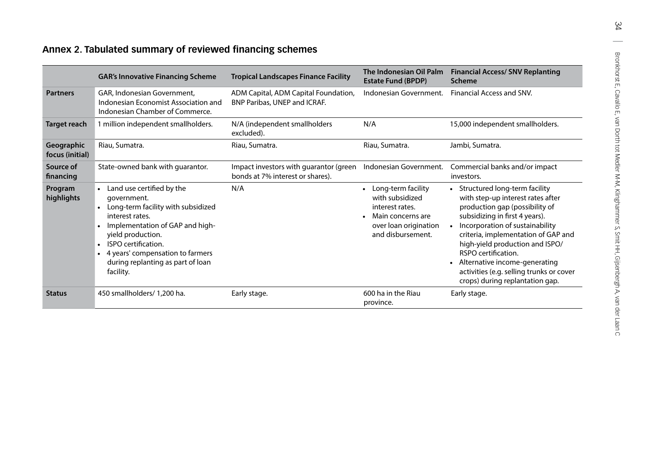### <span id="page-43-0"></span>**Annex 2. Tabulated summary of reviewed financing schemes**

|                                                                                                                                                                                                   | <b>GAR's Innovative Financing Scheme</b>                                                                                                                                                                                                                                            | <b>Tropical Landscapes Finance Facility</b>                                | The Indonesian Oil Palm<br><b>Estate Fund (BPDP)</b>                                                                        | <b>Financial Access/ SNV Replanting</b><br><b>Scheme</b>                                                                                                                                                                                                                                                                                                                                     |
|---------------------------------------------------------------------------------------------------------------------------------------------------------------------------------------------------|-------------------------------------------------------------------------------------------------------------------------------------------------------------------------------------------------------------------------------------------------------------------------------------|----------------------------------------------------------------------------|-----------------------------------------------------------------------------------------------------------------------------|----------------------------------------------------------------------------------------------------------------------------------------------------------------------------------------------------------------------------------------------------------------------------------------------------------------------------------------------------------------------------------------------|
| GAR, Indonesian Government,<br>ADM Capital, ADM Capital Foundation,<br><b>Partners</b><br>Indonesian Economist Association and<br>BNP Paribas, UNEP and ICRAF.<br>Indonesian Chamber of Commerce. |                                                                                                                                                                                                                                                                                     | Indonesian Government.                                                     | Financial Access and SNV.                                                                                                   |                                                                                                                                                                                                                                                                                                                                                                                              |
| <b>Target reach</b>                                                                                                                                                                               | 1 million independent smallholders.                                                                                                                                                                                                                                                 | N/A (independent smallholders<br>excluded).                                | N/A                                                                                                                         | 15,000 independent smallholders.                                                                                                                                                                                                                                                                                                                                                             |
| Geographic<br>focus (initial)                                                                                                                                                                     | Riau, Sumatra.                                                                                                                                                                                                                                                                      | Riau, Sumatra.                                                             | Riau, Sumatra.                                                                                                              | Jambi, Sumatra.                                                                                                                                                                                                                                                                                                                                                                              |
| Source of<br>financing                                                                                                                                                                            | State-owned bank with guarantor.                                                                                                                                                                                                                                                    | Impact investors with guarantor (green<br>bonds at 7% interest or shares). | Indonesian Government.                                                                                                      | Commercial banks and/or impact<br>investors.                                                                                                                                                                                                                                                                                                                                                 |
| Program<br>highlights                                                                                                                                                                             | Land use certified by the<br>government.<br>Long-term facility with subsidized<br>interest rates.<br>Implementation of GAP and high-<br>$\bullet$<br>yield production.<br>ISPO certification.<br>4 years' compensation to farmers<br>during replanting as part of loan<br>facility. | N/A                                                                        | Long-term facility<br>with subsidized<br>interest rates.<br>Main concerns are<br>over loan origination<br>and disbursement. | • Structured long-term facility<br>with step-up interest rates after<br>production gap (possibility of<br>subsidizing in first 4 years).<br>Incorporation of sustainability<br>criteria, implementation of GAP and<br>high-yield production and ISPO/<br>RSPO certification.<br>Alternative income-generating<br>activities (e.g. selling trunks or cover<br>crops) during replantation gap. |
| <b>Status</b>                                                                                                                                                                                     | 450 smallholders/ 1,200 ha.                                                                                                                                                                                                                                                         | Early stage.                                                               | 600 ha in the Riau<br>province.                                                                                             | Early stage.                                                                                                                                                                                                                                                                                                                                                                                 |